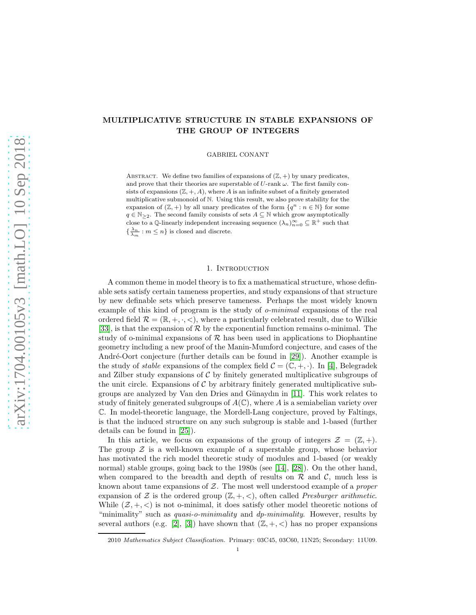# MULTIPLICATIVE STRUCTURE IN STABLE EXPANSIONS OF THE GROUP OF INTEGERS

GABRIEL CONANT

ABSTRACT. We define two families of expansions of  $(\mathbb{Z}, +)$  by unary predicates, and prove that their theories are superstable of  $U$ -rank  $\omega$ . The first family consists of expansions  $(\mathbb{Z}, +, A)$ , where A is an infinite subset of a finitely generated multiplicative submonoid of N. Using this result, we also prove stability for the expansion of  $(\mathbb{Z}, +)$  by all unary predicates of the form  $\{q^n : n \in \mathbb{N}\}\)$  for some  $q \in \mathbb{N}_{\geq 2}$ . The second family consists of sets  $A \subseteq \mathbb{N}$  which grow asymptotically close to a Q-linearly independent increasing sequence  $(\lambda_n)_{n=0}^{\infty} \subseteq \mathbb{R}^+$  such that  $\{\frac{\lambda_n}{\lambda_m}:m\leq n\}$  is closed and discrete.

# 1. INTRODUCTION

<span id="page-0-0"></span>A common theme in model theory is to fix a mathematical structure, whose definable sets satisfy certain tameness properties, and study expansions of that structure by new definable sets which preserve tameness. Perhaps the most widely known example of this kind of program is the study of o-minimal expansions of the real ordered field  $\mathcal{R} = (\mathbb{R}, +, \cdot, <)$ , where a particularly celebrated result, due to Wilkie [\[33\]](#page-19-0), is that the expansion of  $R$  by the exponential function remains o-minimal. The study of o-minimal expansions of  $R$  has been used in applications to Diophantine geometry including a new proof of the Manin-Mumford conjecture, and cases of the André-Oort conjecture (further details can be found in [\[29\]](#page-19-1)). Another example is the study of *stable* expansions of the complex field  $C = (\mathbb{C}, +, \cdot)$ . In [\[4\]](#page-18-0), Belegradek and Zilber study expansions of  $\mathcal C$  by finitely generated multiplicative subgroups of the unit circle. Expansions of  $C$  by arbitrary finitely generated multiplicative subgroups are analyzed by Van den Dries and G¨unaydın in [\[11\]](#page-18-1). This work relates to study of finitely generated subgroups of  $A(\mathbb{C})$ , where A is a semiabelian variety over C. In model-theoretic language, the Mordell-Lang conjecture, proved by Faltings, is that the induced structure on any such subgroup is stable and 1-based (further details can be found in [\[25\]](#page-18-2)).

In this article, we focus on expansions of the group of integers  $\mathcal{Z} = (\mathbb{Z}, +)$ . The group  $\mathcal Z$  is a well-known example of a superstable group, whose behavior has motivated the rich model theoretic study of modules and 1-based (or weakly normal) stable groups, going back to the 1980s (see [\[14\]](#page-18-3), [\[28\]](#page-19-2)). On the other hand, when compared to the breadth and depth of results on  $\mathcal R$  and  $\mathcal C$ , much less is known about tame expansions of  $Z$ . The most well understood example of a *proper* expansion of Z is the ordered group  $(\mathbb{Z}, +, <)$ , often called *Presburger arithmetic*. While  $(\mathcal{Z}, +, <)$  is not o-minimal, it does satisfy other model theoretic notions of "minimality" such as *quasi-o-minimality* and  $dp{\text{-}minimality}$ . However, results by several authors (e.g. [\[2\]](#page-18-4), [\[3\]](#page-18-5)) have shown that  $(\mathbb{Z}, +, <)$  has no proper expansions

<sup>2010</sup> Mathematics Subject Classification. Primary: 03C45, 03C60, 11N25; Secondary: 11U09.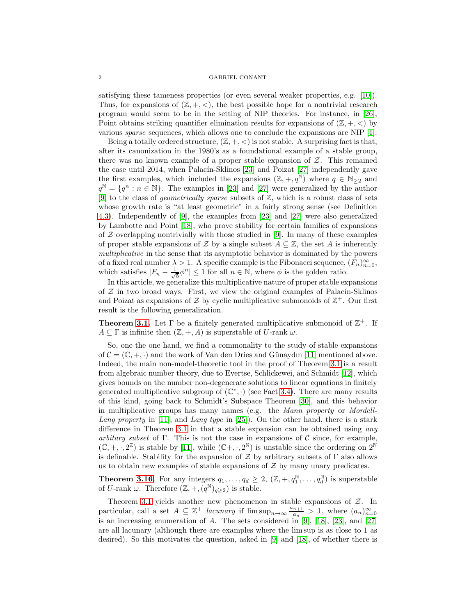satisfying these tameness properties (or even several weaker properties, e.g. [\[10\]](#page-18-6)). Thus, for expansions of  $(\mathbb{Z}, +, <)$ , the best possible hope for a nontrivial research program would seem to be in the setting of NIP theories. For instance, in [\[26\]](#page-18-7), Point obtains striking quantifier elimination results for expansions of  $(\mathbb{Z}, +, <)$  by various sparse sequences, which allows one to conclude the expansions are NIP [\[1\]](#page-18-8).

Being a totally ordered structure,  $(\mathbb{Z}, +, <)$  is not stable. A surprising fact is that, after its canonization in the 1980's as a foundational example of a stable group, there was no known example of a proper stable expansion of  $Z$ . This remained the case until 2014, when Palacín-Sklinos  $[23]$  and Poizat  $[27]$  independently gave the first examples, which included the expansions  $(\mathbb{Z}, +, q^{\mathbb{N}})$  where  $q \in \mathbb{N}_{\geq 2}$  and  $q^{\mathbb{N}} = \{q^n : n \in \mathbb{N}\}.$  The examples in [\[23\]](#page-18-9) and [\[27\]](#page-19-3) were generalized by the author [\[9\]](#page-18-10) to the class of *geometrically sparse* subsets of  $\mathbb{Z}$ , which is a robust class of sets whose growth rate is "at least geometric" in a fairly strong sense (see Definition [4.3\)](#page-12-0). Independently of [\[9\]](#page-18-10), the examples from [\[23\]](#page-18-9) and [\[27\]](#page-19-3) were also generalized by Lambotte and Point [\[18\]](#page-18-11), who prove stability for certain families of expansions of  $Z$  overlapping nontrivially with those studied in [\[9\]](#page-18-10). In many of these examples of proper stable expansions of Z by a single subset  $A \subseteq \mathbb{Z}$ , the set A is inherently multiplicative in the sense that its asymptotic behavior is dominated by the powers of a fixed real number  $\lambda > 1$ . A specific example is the Fibonacci sequence,  $(F_n)_{n=0}^{\infty}$ , which satisfies  $|F_n - \frac{1}{\sqrt{n}}|$  $\frac{1}{5}\phi^n \leq 1$  for all  $n \in \mathbb{N}$ , where  $\phi$  is the golden ratio.

In this article, we generalize this multiplicative nature of proper stable expansions of  $Z$  in two broad ways. First, we view the original examples of Palacín-Sklinos and Poizat as expansions of  $\mathcal Z$  by cyclic multiplicative submonoids of  $\mathbb Z^+$ . Our first result is the following generalization.

**Theorem [3.1.](#page-5-0)** Let  $\Gamma$  be a finitely generated multiplicative submonoid of  $\mathbb{Z}^+$ . If  $A \subseteq \Gamma$  is infinite then  $(\mathbb{Z}, +, A)$  is superstable of U-rank  $\omega$ .

So, one the one hand, we find a commonality to the study of stable expansions of  $\mathcal{C} = (\mathbb{C}, +, \cdot)$  and the work of Van den Dries and Günaydın [\[11\]](#page-18-1) mentioned above. Indeed, the main non-model-theoretic tool in the proof of Theorem [3.1](#page-5-0) is a result from algebraic number theory, due to Evertse, Schlickewei, and Schmidt [\[12\]](#page-18-12), which gives bounds on the number non-degenerate solutions to linear equations in finitely generated multiplicative subgroup of  $(\mathbb{C}^*, \cdot)$  (see Fact [3.4\)](#page-6-0). There are many results of this kind, going back to Schmidt's Subspace Theorem [\[30\]](#page-19-4), and this behavior in multiplicative groups has many names (e.g. the Mann property or Mordell-Lang property in [\[11\]](#page-18-1); and Lang type in [\[25\]](#page-18-2)). On the other hand, there is a stark difference in Theorem [3.1](#page-5-0) in that a stable expansion can be obtained using *any* arbitary subset of Γ. This is not the case in expansions of  $\mathcal C$  since, for example,  $(\mathbb{C}, +, \cdot, 2^{\mathbb{Z}})$  is stable by [\[11\]](#page-18-1), while  $(\mathbb{C}^+, \cdot, 2^{\mathbb{N}})$  is unstable since the ordering on  $2^{\mathbb{N}}$ is definable. Stability for the expansion of  $\mathcal Z$  by arbitrary subsets of  $\Gamma$  also allows us to obtain new examples of stable expansions of  $\mathcal Z$  by many unary predicates.

**Theorem [3.16.](#page-11-0)** For any integers  $q_1, \ldots, q_d \geq 2$ ,  $(\mathbb{Z}, +, q_1^{\mathbb{N}}, \ldots, q_d^{\mathbb{N}})$  is superstable of U-rank  $\omega$ . Therefore  $(\mathbb{Z}, +, (q^{\mathbb{N}})_{q \geq 2})$  is stable.

Theorem [3.1](#page-5-0) yields another new phenomenon in stable expansions of  $Z$ . In particular, call a set  $A \subseteq \mathbb{Z}^+$  lacunary if  $\limsup_{n \to \infty} \frac{a_{n+1}}{a_n}$  $\frac{n+1}{a_n} > 1$ , where  $(a_n)_{n=0}^{\infty}$ is an increasing enumeration of A. The sets considered in [\[9\]](#page-18-10), [\[18\]](#page-18-11), [\[23\]](#page-18-9), and [\[27\]](#page-19-3) are all lacunary (although there are examples where the lim sup is as close to 1 as desired). So this motivates the question, asked in [\[9\]](#page-18-10) and [\[18\]](#page-18-11), of whether there is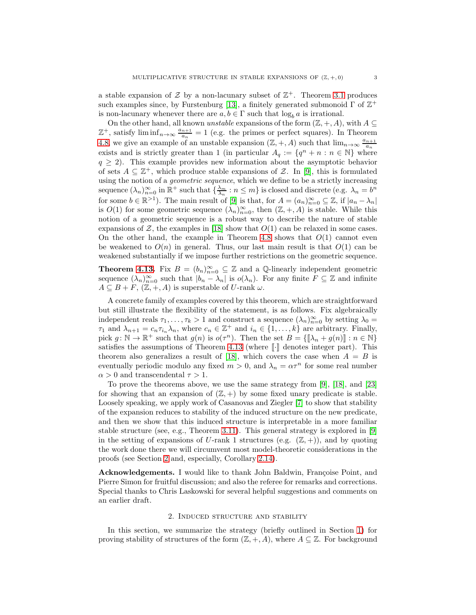a stable expansion of  $\mathcal Z$  by a non-lacunary subset of  $\mathbb Z^+$ . Theorem [3.1](#page-5-0) produces such examples since, by Furstenburg [\[13\]](#page-18-13), a finitely generated submonoid  $\Gamma$  of  $\mathbb{Z}^+$ is non-lacunary whenever there are  $a, b \in \Gamma$  such that  $\log_b a$  is irrational.

On the other hand, all known *unstable* expansions of the form  $(\mathbb{Z}, +, A)$ , with  $A \subseteq$  $\mathbb{Z}^+$ , satisfy lim inf $_{n\to\infty}$   $\frac{a_{n+1}}{a_n}$  $\frac{n+1}{a_n} = 1$  (e.g. the primes or perfect squares). In Theorem [4.8,](#page-12-1) we give an example of an unstable expansion  $(\mathbb{Z}, +, A)$  such that  $\lim_{n\to\infty} \frac{a_{n+1}}{a_n}$  $\overline{a_n}$ exists and is strictly greater than 1 (in particular  $A_q := \{q^n + n : n \in \mathbb{N}\}\$  where  $q \geq 2$ ). This example provides new information about the asymptotic behavior of sets  $A \subseteq \mathbb{Z}^+$ , which produce stable expansions of  $\mathcal{Z}$ . In [\[9\]](#page-18-10), this is formulated using the notion of a *geometric sequence*, which we define to be a strictly increasing sequence  $(\lambda_n)_{n=0}^{\infty}$  in  $\mathbb{R}^+$  such that  $\{\frac{\lambda_m}{\lambda_n} : n \leq m\}$  is closed and discrete (e.g.  $\lambda_n = b^n$ ) for some  $b \in \mathbb{R}^{>1}$ ). The main result of [\[9\]](#page-18-10) is that, for  $A = (a_n)_{n=0}^{\infty} \subseteq \mathbb{Z}$ , if  $|a_n - \lambda_n|$ is  $O(1)$  for some geometric sequence  $(\lambda_n)_{n=0}^{\infty}$ , then  $(\mathbb{Z}, +, A)$  is stable. While this notion of a geometric sequence is a robust way to describe the nature of stable expansions of  $\mathcal{Z}$ , the examples in [\[18\]](#page-18-11) show that  $O(1)$  can be relaxed in some cases. On the other hand, the example in Theorem [4.8](#page-12-1) shows that  $O(1)$  cannot even be weakened to  $O(n)$  in general. Thus, our last main result is that  $O(1)$  can be weakened substantially if we impose further restrictions on the geometric sequence.

**Theorem [4.13.](#page-14-0)** Fix  $B = (b_n)_{n=0}^{\infty} \subseteq \mathbb{Z}$  and a Q-linearly independent geometric sequence  $(\lambda_n)_{n=0}^{\infty}$  such that  $|b_n - \lambda_n|$  is  $o(\lambda_n)$ . For any finite  $F \subseteq \mathbb{Z}$  and infinite  $A \subseteq B + F$ ,  $(\mathbb{Z}, +, A)$  is superstable of U-rank  $\omega$ .

A concrete family of examples covered by this theorem, which are straightforward but still illustrate the flexibility of the statement, is as follows. Fix algebraically independent reals  $\tau_1, \ldots, \tau_k > 1$  and construct a sequence  $(\lambda_n)_{n=0}^{\infty}$  by setting  $\lambda_0 =$  $\tau_1$  and  $\lambda_{n+1} = c_n \tau_{i_n} \lambda_n$ , where  $c_n \in \mathbb{Z}^+$  and  $i_n \in \{1, ..., k\}$  are arbitrary. Finally, pick  $g: \mathbb{N} \to \mathbb{R}^+$  such that  $g(n)$  is  $o(\tau^n)$ . Then the set  $B = \{\llbracket \lambda_n + g(n) \rrbracket : n \in \mathbb{N}\}\$ satisfies the assumptions of Theorem [4.13](#page-14-0) (where  $\lVert \cdot \rVert$  denotes integer part). This theorem also generalizes a result of [\[18\]](#page-18-11), which covers the case when  $A = B$  is eventually periodic modulo any fixed  $m > 0$ , and  $\lambda_n = \alpha \tau^n$  for some real number  $\alpha > 0$  and transcendental  $\tau > 1$ .

To prove the theorems above, we use the same strategy from [\[9\]](#page-18-10), [\[18\]](#page-18-11), and [\[23\]](#page-18-9) for showing that an expansion of  $(\mathbb{Z}, +)$  by some fixed unary predicate is stable. Loosely speaking, we apply work of Casanovas and Ziegler [\[7\]](#page-18-14) to show that stability of the expansion reduces to stability of the induced structure on the new predicate, and then we show that this induced structure is interpretable in a more familiar stable structure (see, e.g., Theorem [3.11\)](#page-8-0). This general strategy is explored in [\[9\]](#page-18-10) in the setting of expansions of U-rank 1 structures (e.g.  $(\mathbb{Z}, +)$ ), and by quoting the work done there we will circumvent most model-theoretic considerations in the proofs (see Section [2](#page-2-0) and, especially, Corollary [2.14\)](#page-5-1).

Acknowledgements. I would like to thank John Baldwin, Françoise Point, and Pierre Simon for fruitful discussion; and also the referee for remarks and corrections. Special thanks to Chris Laskowski for several helpful suggestions and comments on an earlier draft.

# 2. Induced structure and stability

<span id="page-2-0"></span>In this section, we summarize the strategy (briefly outlined in Section [1\)](#page-0-0) for proving stability of structures of the form  $(\mathbb{Z}, +, A)$ , where  $A \subseteq \mathbb{Z}$ . For background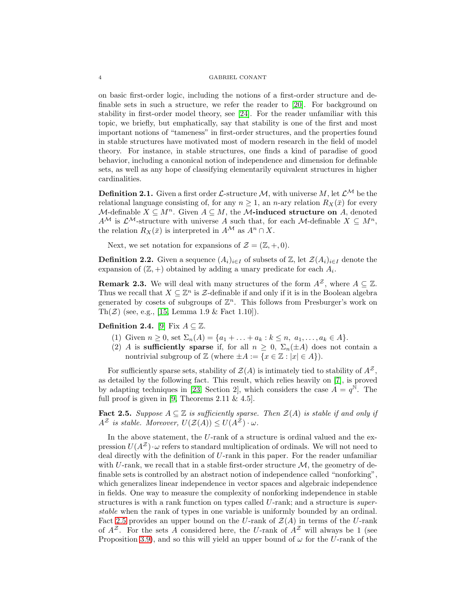on basic first-order logic, including the notions of a first-order structure and definable sets in such a structure, we refer the reader to [\[20\]](#page-18-15). For background on stability in first-order model theory, see [\[24\]](#page-18-16). For the reader unfamiliar with this topic, we briefly, but emphatically, say that stability is one of the first and most important notions of "tameness" in first-order structures, and the properties found in stable structures have motivated most of modern research in the field of model theory. For instance, in stable structures, one finds a kind of paradise of good behavior, including a canonical notion of independence and dimension for definable sets, as well as any hope of classifying elementarily equivalent structures in higher cardinalities.

**Definition 2.1.** Given a first order  $\mathcal{L}$ -structure M, with universe M, let  $\mathcal{L}^{\mathcal{M}}$  be the relational language consisting of, for any  $n \geq 1$ , an *n*-ary relation  $R_X(\bar{x})$  for every  $\mathcal{M}$ -definable  $X \subseteq M^n$ . Given  $A \subseteq M$ , the  $\mathcal{M}$ -induced structure on A, denoted  $A^{\mathcal{M}}$  is  $\mathcal{L}^{\mathcal{M}}$ -structure with universe A such that, for each M-definable  $X \subseteq M^{n}$ , the relation  $R_X(\bar{x})$  is interpreted in  $A^{\mathcal{M}}$  as  $A^n \cap X$ .

Next, we set notation for expansions of  $\mathcal{Z} = (\mathbb{Z}, +, 0)$ .

**Definition 2.2.** Given a sequence  $(A_i)_{i\in I}$  of subsets of Z, let  $\mathcal{Z}(A_i)_{i\in I}$  denote the expansion of  $(\mathbb{Z}, +)$  obtained by adding a unary predicate for each  $A_i$ .

<span id="page-3-1"></span>**Remark 2.3.** We will deal with many structures of the form  $A^{\mathcal{Z}}$ , where  $A \subseteq \mathbb{Z}$ . Thus we recall that  $X \subseteq \mathbb{Z}^n$  is  $\mathcal{Z}\text{-}$  definable if and only if it is in the Boolean algebra generated by cosets of subgroups of  $\mathbb{Z}^n$ . This follows from Presburger's work on Th $(\mathcal{Z})$  (see, e.g., [\[15,](#page-18-17) Lemma 1.9 & Fact 1.10]).

Definition 2.4. [\[9\]](#page-18-10) Fix  $A \subseteq \mathbb{Z}$ .

- (1) Given  $n \geq 0$ , set  $\Sigma_n(A) = \{a_1 + \ldots + a_k : k \leq n, a_1, \ldots, a_k \in A\}.$
- (2) A is sufficiently sparse if, for all  $n \geq 0$ ,  $\Sigma_n(\pm A)$  does not contain a nontrivial subgroup of  $\mathbb{Z}$  (where  $\pm A := \{x \in \mathbb{Z} : |x| \in A\}$ ).

For sufficiently sparse sets, stability of  $\mathcal{Z}(A)$  is intimately tied to stability of  $A^{\mathcal{Z}}$ . as detailed by the following fact. This result, which relies heavily on [\[7\]](#page-18-14), is proved by adapting techniques in [\[23,](#page-18-9) Section 2], which considers the case  $A = q^{\mathbb{N}}$ . The full proof is given in [\[9,](#page-18-10) Theorems  $2.11 \& 4.5$ ].

<span id="page-3-0"></span>Fact 2.5. Suppose  $A \subseteq \mathbb{Z}$  is sufficiently sparse. Then  $\mathcal{Z}(A)$  is stable if and only if  $A^{\mathcal{Z}}$  is stable. Moreover,  $U(\mathcal{Z}(A)) \leq U(A^{\mathcal{Z}}) \cdot \omega$ .

In the above statement, the U-rank of a structure is ordinal valued and the expression  $U(A^{\mathcal{Z}}) \cdot \omega$  refers to standard multiplication of ordinals. We will not need to deal directly with the definition of U-rank in this paper. For the reader unfamiliar with U-rank, we recall that in a stable first-order structure  $\mathcal{M}$ , the geometry of definable sets is controlled by an abstract notion of independence called "nonforking", which generalizes linear independence in vector spaces and algebraic independence in fields. One way to measure the complexity of nonforking independence in stable structures is with a rank function on types called U-rank; and a structure is *super*stable when the rank of types in one variable is uniformly bounded by an ordinal. Fact [2.5](#page-3-0) provides an upper bound on the U-rank of  $\mathcal{Z}(A)$  in terms of the U-rank of  $A^{\mathcal{Z}}$ . For the sets A considered here, the U-rank of  $A^{\mathcal{Z}}$  will always be 1 (see Proposition [3.9\)](#page-7-0), and so this will yield an upper bound of  $\omega$  for the U-rank of the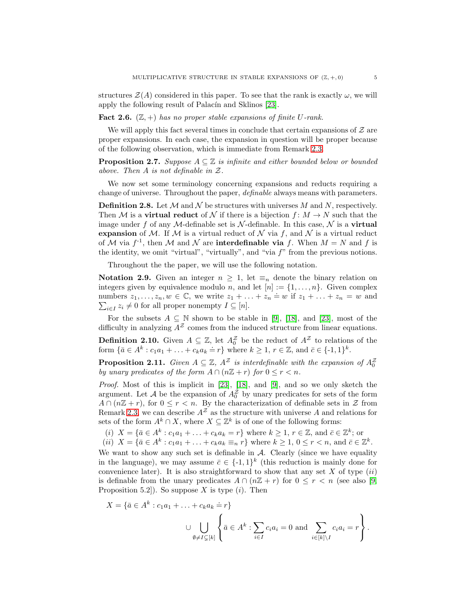structures  $\mathcal{Z}(A)$  considered in this paper. To see that the rank is exactly  $\omega$ , we will apply the following result of Palacín and Sklinos [\[23\]](#page-18-9).

<span id="page-4-1"></span>**Fact 2.6.**  $(\mathbb{Z}, +)$  has no proper stable expansions of finite U-rank.

We will apply this fact several times in conclude that certain expansions of  $\mathcal Z$  are proper expansions. In each case, the expansion in question will be proper because of the following observation, which is immediate from Remark [2.3.](#page-3-1)

**Proposition 2.7.** Suppose  $A \subseteq \mathbb{Z}$  is infinite and either bounded below or bounded above. Then A is not definable in Z.

We now set some terminology concerning expansions and reducts requiring a change of universe. Throughout the paper, definable always means with parameters.

**Definition 2.8.** Let  $M$  and  $N$  be structures with universes M and N, respectively. Then M is a **virtual reduct** of N if there is a bijection  $f: M \to N$  such that the image under f of any M-definable set is N-definable. In this case,  $N$  is a virtual expansion of M. If M is a virtual reduct of N via f, and N is a virtual reduct of M via  $f^{-1}$ , then M and N are **interdefinable via** f. When  $M = N$  and f is the identity, we omit "virtual", "virtually", and "via  $f$ " from the previous notions.

Throughout the the paper, we will use the following notation.

Notation 2.9. Given an integer  $n \geq 1$ , let  $\equiv_n$  denote the binary relation on integers given by equivalence modulo *n*, and let  $[n] := \{1, \ldots, n\}$ . Given complex numbers  $z_1, \ldots, z_n, w \in \mathbb{C}$ , we write  $z_1 + \ldots + z_n = w$  if  $z_1 + \ldots + z_n = w$  and  $\sum_{i\in I} z_i \neq 0$  for all proper nonempty  $I \subseteq [n]$ .

For the subsets  $A \subseteq \mathbb{N}$  shown to be stable in [\[9\]](#page-18-10), [\[18\]](#page-18-11), and [\[23\]](#page-18-9), most of the difficulty in analyzing  $A^Z$  comes from the induced structure from linear equations.

**Definition 2.10.** Given  $A \subseteq \mathbb{Z}$ , let  $A_0^{\mathbb{Z}}$  be the reduct of  $A^{\mathbb{Z}}$  to relations of the form  $\{\bar{a} \in A^k : c_1 a_1 + \ldots + c_k a_k = r\}$  where  $k \ge 1, r \in \mathbb{Z}$ , and  $\bar{c} \in \{-1, 1\}^k$ .

<span id="page-4-0"></span>**Proposition 2.11.** Given  $A \subseteq \mathbb{Z}$ ,  $A^{\mathbb{Z}}$  is interdefinable with the expansion of  $A_0^{\mathbb{Z}}$ by unary predicates of the form  $A \cap (n\mathbb{Z} + r)$  for  $0 \le r < n$ .

*Proof.* Most of this is implicit in  $[23]$ ,  $[18]$ , and  $[9]$ , and so we only sketch the argument. Let  $\mathcal A$  be the expansion of  $A_0^{\mathcal Z}$  by unary predicates for sets of the form  $A \cap (n\mathbb{Z} + r)$ , for  $0 \leq r < n$ . By the characterization of definable sets in  $\mathcal Z$  from Remark [2.3,](#page-3-1) we can describe  $A^{\mathcal{Z}}$  as the structure with universe A and relations for sets of the form  $A^k \cap X$ , where  $X \subseteq \mathbb{Z}^k$  is of one of the following forms:

(i)  $X = \{ \bar{a} \in A^k : c_1 a_1 + \ldots + c_k a_k = r \}$  where  $k \geq 1, r \in \mathbb{Z}$ , and  $\bar{c} \in \mathbb{Z}^k$ ; or

(*ii*) 
$$
X = \{ \bar{a} \in A^k : c_1 a_1 + \ldots + c_k a_k \equiv_n r \}
$$
 where  $k \ge 1, 0 \le r < n$ , and  $\bar{c} \in \mathbb{Z}^k$ .

We want to show any such set is definable in  $A$ . Clearly (since we have equality in the language), we may assume  $\bar{c} \in \{-1,1\}^k$  (this reduction is mainly done for convenience later). It is also straightforward to show that any set  $X$  of type  $(ii)$ is definable from the unary predicates  $A \cap (n\mathbb{Z} + r)$  for  $0 \leq r < n$  (see also [\[9,](#page-18-10) Proposition 5.2.]). So suppose X is type  $(i)$ . Then

$$
X = \{\bar{a} \in A^k : c_1 a_1 + \ldots + c_k a_k = r\}
$$

$$
\cup \bigcup_{\emptyset \neq I \subsetneq [k]} \left\{\bar{a} \in A^k : \sum_{i \in I} c_i a_i = 0 \text{ and } \sum_{i \in [k] \setminus I} c_i a_i = r\right\}.
$$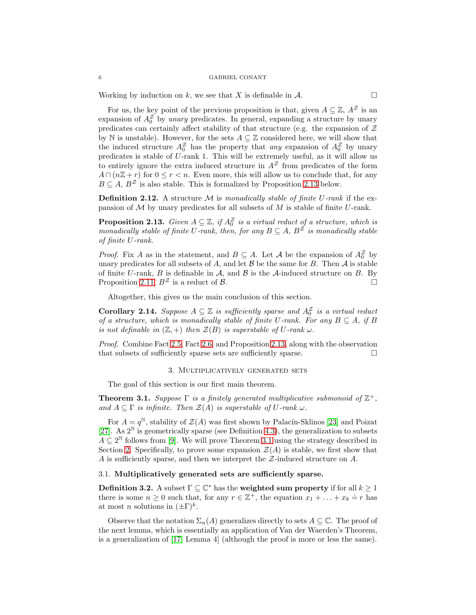Working by induction on k, we see that X is definable in  $\mathcal{A}$ .

For us, the key point of the previous proposition is that, given  $A \subseteq \mathbb{Z}$ ,  $A^{\mathcal{Z}}$  is an expansion of  $A_0^2$  by unary predicates. In general, expanding a structure by unary predicates can certainly affect stability of that structure (e.g. the expansion of  $Z$ by N is unstable). However, for the sets  $A \subseteq \mathbb{Z}$  considered here, we will show that the induced structure  $A_0^2$  has the property that any expansion of  $A_0^2$  by unary predicates is stable of U-rank 1. This will be extremely useful, as it will allow us to entirely ignore the extra induced structure in  $A<sup>Z</sup>$  from predicates of the form  $A \cap (n\mathbb{Z} + r)$  for  $0 \le r < n$ . Even more, this will allow us to conclude that, for any  $B \subseteq A$ ,  $B^{\mathcal{Z}}$  is also stable. This is formalized by Proposition [2.13](#page-5-2) below.

**Definition 2.12.** A structure M is monadically stable of finite U-rank if the expansion of  $M$  by unary predicates for all subsets of  $M$  is stable of finite  $U$ -rank.

<span id="page-5-2"></span>**Proposition 2.13.** Given  $A \subseteq \mathbb{Z}$ , if  $A_0^{\mathbb{Z}}$  is a virtual reduct of a structure, which is monadically stable of finite U-rank, then, for any  $B \subseteq A$ ,  $B^{\tilde{Z}}$  is monadically stable of finite U-rank.

*Proof.* Fix A as in the statement, and  $B \subseteq A$ . Let A be the expansion of  $A_0^{\mathcal{Z}}$  by unary predicates for all subsets of A, and let  $\beta$  be the same for B. Then  $\mathcal A$  is stable of finite U-rank,  $B$  is definable in  $A$ , and  $B$  is the  $A$ -induced structure on  $B$ . By Proposition [2.11,](#page-4-0)  $B^{\mathcal{Z}}$  is a reduct of  $\mathcal{B}$ .

Altogether, this gives us the main conclusion of this section.

<span id="page-5-1"></span>**Corollary 2.14.** Suppose  $A \subseteq \mathbb{Z}$  is sufficiently sparse and  $A_0^{\mathbb{Z}}$  is a virtual reduct of a structure, which is monadically stable of finite U-rank. For any  $B \subseteq A$ , if B is not definable in  $(\mathbb{Z}, +)$  then  $\mathcal{Z}(B)$  is superstable of U-rank  $\omega$ .

<span id="page-5-3"></span>Proof. Combine Fact [2.5,](#page-3-0) Fact [2.6,](#page-4-1) and Proposition [2.13,](#page-5-2) along with the observation that subsets of sufficiently sparse sets are sufficiently sparse.  $\Box$ 

# 3. Multiplicatively generated sets

The goal of this section is our first main theorem.

<span id="page-5-0"></span>**Theorem 3.1.** Suppose  $\Gamma$  is a finitely generated multiplicative submonoid of  $\mathbb{Z}^+$ , and  $A \subseteq \Gamma$  is infinite. Then  $\mathcal{Z}(A)$  is superstable of U-rank  $\omega$ .

For  $A = q^{\mathbb{N}}$ , stability of  $\mathcal{Z}(A)$  was first shown by Palacín-Sklinos [\[23\]](#page-18-9) and Poizat [\[27\]](#page-19-3). As  $2^N$  is geometrically sparse (see Definition [4.3\)](#page-12-0), the generalization to subsets  $A \subseteq 2^{\mathbb{N}}$  follows from [\[9\]](#page-18-10). We will prove Theorem [3.1](#page-5-0) using the strategy described in Section [2.](#page-2-0) Specifically, to prove some expansion  $\mathcal{Z}(A)$  is stable, we first show that A is sufficiently sparse, and then we interpret the  $\mathcal{Z}$ -induced structure on A.

# 3.1. Multiplicatively generated sets are sufficiently sparse.

**Definition 3.2.** A subset  $\Gamma \subseteq \mathbb{C}^*$  has the **weighted sum property** if for all  $k \geq 1$ there is some  $n \geq 0$  such that, for any  $r \in \mathbb{Z}^+$ , the equation  $x_1 + \ldots + x_k \doteq r$  has at most *n* solutions in  $(\pm \Gamma)^k$ .

Observe that the notation  $\Sigma_n(A)$  generalizes directly to sets  $A \subseteq \mathbb{C}$ . The proof of the next lemma, which is essentially an application of Van der Waerden's Theorem, is a generalization of [\[17,](#page-18-18) Lemma 4] (although the proof is more or less the same).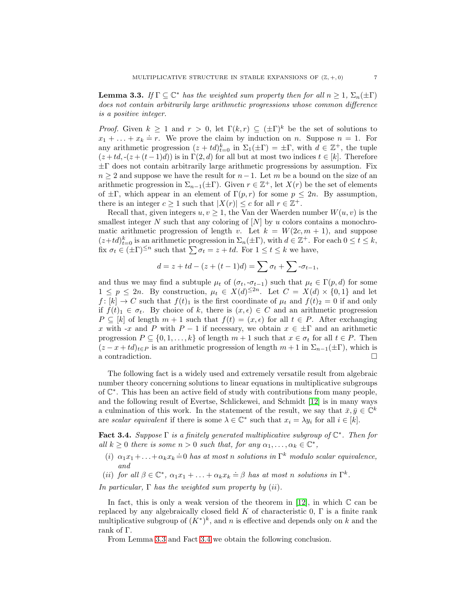<span id="page-6-1"></span>**Lemma 3.3.** If  $\Gamma \subseteq \mathbb{C}^*$  has the weighted sum property then for all  $n \geq 1$ ,  $\Sigma_n(\pm \Gamma)$ does not contain arbitrarily large arithmetic progressions whose common difference is a positive integer.

*Proof.* Given  $k \geq 1$  and  $r > 0$ , let  $\Gamma(k,r) \subseteq (\pm \Gamma)^k$  be the set of solutions to  $x_1 + \ldots + x_k = r$ . We prove the claim by induction on n. Suppose  $n = 1$ . For any arithmetic progression  $(z + td)_{t=0}^k$  in  $\Sigma_1(\pm \Gamma) = \pm \Gamma$ , with  $d \in \mathbb{Z}^+$ , the tuple  $(z + td, -(z + (t-1)d))$  is in  $\Gamma(2, d)$  for all but at most two indices  $t \in [k]$ . Therefore  $\pm\Gamma$  does not contain arbitrarily large arithmetic progressions by assumption. Fix  $n \geq 2$  and suppose we have the result for  $n-1$ . Let m be a bound on the size of an arithmetic progression in  $\Sigma_{n-1}(\pm \Gamma)$ . Given  $r \in \mathbb{Z}^+$ , let  $X(r)$  be the set of elements of  $\pm\Gamma$ , which appear in an element of  $\Gamma(p,r)$  for some  $p \leq 2n$ . By assumption, there is an integer  $c \geq 1$  such that  $|X(r)| \leq c$  for all  $r \in \mathbb{Z}^+$ .

Recall that, given integers  $u, v \geq 1$ , the Van der Waerden number  $W(u, v)$  is the smallest integer  $N$  such that any coloring of  $[N]$  by  $u$  colors contains a monochromatic arithmetic progression of length v. Let  $k = W(2c, m + 1)$ , and suppose  $(z+td)_{t=0}^k$  is an arithmetic progression in  $\Sigma_n(\pm\Gamma)$ , with  $d \in \mathbb{Z}^+$ . For each  $0 \le t \le k$ , fix  $\sigma_t \in (\pm \Gamma)^{\leq n}$  such that  $\sum \sigma_t = z + td$ . For  $1 \leq t \leq k$  we have,

$$
d = z + td - (z + (t - 1)d) = \sum \sigma_t + \sum \sigma_{t-1},
$$

and thus we may find a subtuple  $\mu_t$  of  $(\sigma_t, \sigma_{t-1})$  such that  $\mu_t \in \Gamma(p, d)$  for some  $1 \leq p \leq 2n$ . By construction,  $\mu_t \in X(d)^{\leq 2n}$ . Let  $C = X(d) \times \{0,1\}$  and let  $f: [k] \to C$  such that  $f(t)_1$  is the first coordinate of  $\mu_t$  and  $f(t)_2 = 0$  if and only if  $f(t)_1 \in \sigma_t$ . By choice of k, there is  $(x, \epsilon) \in C$  and an arithmetic progression  $P \subseteq [k]$  of length  $m + 1$  such that  $f(t) = (x, \epsilon)$  for all  $t \in P$ . After exchanging x with -x and P with  $P-1$  if necessary, we obtain  $x \in \pm \Gamma$  and an arithmetic progression  $P \subseteq \{0, 1, \ldots, k\}$  of length  $m + 1$  such that  $x \in \sigma_t$  for all  $t \in P$ . Then  $(z - x + td)_{t \in P}$  is an arithmetic progression of length  $m + 1$  in  $\Sigma_{n-1}(\pm \Gamma)$ , which is a contradiction. a contradiction.

The following fact is a widely used and extremely versatile result from algebraic number theory concerning solutions to linear equations in multiplicative subgroups of C ∗ . This has been an active field of study with contributions from many people, and the following result of Evertse, Schlickewei, and Schmidt [\[12\]](#page-18-12) is in many ways a culmination of this work. In the statement of the result, we say that  $\bar{x}, \bar{y} \in \mathbb{C}^k$ are scalar equivalent if there is some  $\lambda \in \mathbb{C}^*$  such that  $x_i = \lambda y_i$  for all  $i \in [k]$ .

<span id="page-6-0"></span>**Fact 3.4.** Suppose  $\Gamma$  is a finitely generated multiplicative subgroup of  $\mathbb{C}^*$ . Then for all  $k \geq 0$  there is some  $n > 0$  such that, for any  $\alpha_1, \ldots, \alpha_k \in \mathbb{C}^*$ ,

- (i)  $\alpha_1 x_1 + \ldots + \alpha_k x_k \doteq 0$  has at most n solutions in  $\Gamma^k$  modulo scalar equivalence, and
- (ii) for all  $\beta \in \mathbb{C}^*$ ,  $\alpha_1 x_1 + \ldots + \alpha_k x_k \doteq \beta$  has at most n solutions in  $\Gamma^k$ .

In particular,  $\Gamma$  has the weighted sum property by (ii).

In fact, this is only a weak version of the theorem in [\[12\]](#page-18-12), in which  $\mathbb C$  can be replaced by any algebraically closed field K of characteristic 0,  $\Gamma$  is a finite rank multiplicative subgroup of  $(K^*)^k$ , and n is effective and depends only on k and the rank of Γ.

From Lemma [3.3](#page-6-1) and Fact [3.4](#page-6-0) we obtain the following conclusion.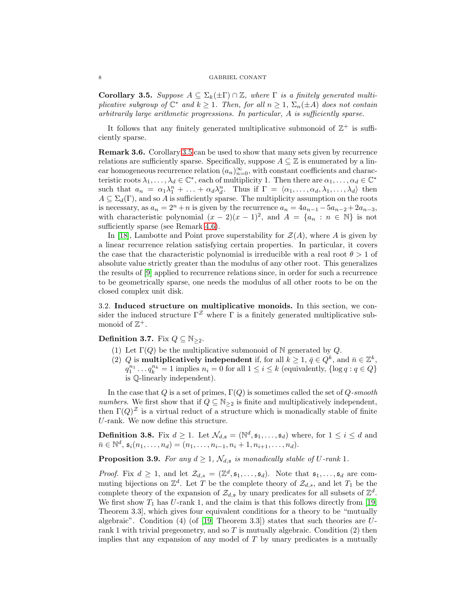<span id="page-7-1"></span>Corollary 3.5. Suppose  $A \subseteq \Sigma_k(\pm \Gamma) \cap \mathbb{Z}$ , where  $\Gamma$  is a finitely generated multiplicative subgroup of  $\mathbb{C}^*$  and  $k \geq 1$ . Then, for all  $n \geq 1$ ,  $\Sigma_n(\pm A)$  does not contain arbitrarily large arithmetic progressions. In particular, A is sufficiently sparse.

It follows that any finitely generated multiplicative submonoid of  $\mathbb{Z}^+$  is sufficiently sparse.

Remark 3.6. Corollary [3.5](#page-7-1) can be used to show that many sets given by recurrence relations are sufficiently sparse. Specifically, suppose  $A \subseteq \mathbb{Z}$  is enumerated by a linear homogeneous recurrence relation  $(a_n)_{n=0}^{\infty}$ , with constant coefficients and characteristic roots  $\lambda_1, \ldots, \lambda_d \in \mathbb{C}^*$ , each of multiplicity 1. Then there are  $\alpha_1, \ldots, \alpha_d \in \mathbb{C}^*$ such that  $a_n = \alpha_1 \lambda_1^n + \ldots + \alpha_d \lambda_d^n$ . Thus if  $\Gamma = \langle \alpha_1, \ldots, \alpha_d, \lambda_1, \ldots, \lambda_d \rangle$  then  $A \subseteq \Sigma_d(\Gamma)$ , and so A is sufficiently sparse. The multiplicity assumption on the roots is necessary, as  $a_n = 2^n + n$  is given by the recurrence  $a_n = 4a_{n-1} - 5a_{n-2} + 2a_{n-3}$ , with characteristic polynomial  $(x - 2)(x - 1)^2$ , and  $A = \{a_n : n \in \mathbb{N}\}\$ is not sufficiently sparse (see Remark [4.6\)](#page-12-2).

In [\[18\]](#page-18-11), Lambotte and Point prove superstability for  $\mathcal{Z}(A)$ , where A is given by a linear recurrence relation satisfying certain properties. In particular, it covers the case that the characteristic polynomial is irreducible with a real root  $\theta > 1$  of absolute value strictly greater than the modulus of any other root. This generalizes the results of [\[9\]](#page-18-10) applied to recurrence relations since, in order for such a recurrence to be geometrically sparse, one needs the modulus of all other roots to be on the closed complex unit disk.

3.2. Induced structure on multiplicative monoids. In this section, we consider the induced structure  $\Gamma^{\mathcal{Z}}$  where  $\Gamma$  is a finitely generated multiplicative submonoid of  $\mathbb{Z}^+$ .

Definition 3.7. Fix  $Q \subseteq N_{\geq 2}$ .

- (1) Let  $\Gamma(Q)$  be the multiplicative submonoid of N generated by Q.
- (2) Q is multiplicatively independent if, for all  $k \geq 1$ ,  $\bar{q} \in Q^k$ , and  $\bar{n} \in \mathbb{Z}^k$ ,  $q_1^{n_1} \dots q_k^{n_k} = 1$  implies  $n_i = 0$  for all  $1 \le i \le k$  (equivalently,  $\{\log q : q \in Q\}$ ) is Q-linearly independent).

In the case that Q is a set of primes,  $\Gamma(Q)$  is sometimes called the set of Q-smooth numbers. We first show that if  $Q \subseteq N_{\geq 2}$  is finite and multiplicatively independent, then  $\Gamma(Q)^{\mathcal{Z}}$  is a virtual reduct of a structure which is monadically stable of finite U-rank. We now define this structure.

**Definition 3.8.** Fix  $d \geq 1$ . Let  $\mathcal{N}_{d, \mathfrak{s}} = (\mathbb{N}^d, \mathfrak{s}_1, \dots, \mathfrak{s}_d)$  where, for  $1 \leq i \leq d$  and  $\bar{n} \in \mathbb{N}^d$ ,  $\mathfrak{s}_i(n_1, \ldots, n_d) = (n_1, \ldots, n_{i-1}, n_i + 1, n_{i+1}, \ldots, n_d).$ 

<span id="page-7-0"></span>**Proposition 3.9.** For any  $d \geq 1$ ,  $\mathcal{N}_{d,s}$  is monadically stable of U-rank 1.

*Proof.* Fix  $d \geq 1$ , and let  $\mathcal{Z}_{d,s} = (\mathbb{Z}^d, \mathfrak{s}_1, \ldots, \mathfrak{s}_d)$ . Note that  $\mathfrak{s}_1, \ldots, \mathfrak{s}_d$  are commuting bijections on  $\mathbb{Z}^d$ . Let T be the complete theory of  $\mathcal{Z}_{d,s}$ , and let  $T_1$  be the complete theory of the expansion of  $\mathcal{Z}_{d,\mathfrak{s}}$  by unary predicates for all subsets of  $\mathbb{Z}^d$ . We first show  $T_1$  has U-rank 1, and the claim is that this follows directly from [\[19,](#page-18-19) Theorem 3.3], which gives four equivalent conditions for a theory to be "mutually algebraic". Condition  $(4)$  (of [\[19,](#page-18-19) Theorem 3.3]) states that such theories are Urank 1 with trivial pregeometry, and so  $T$  is mutually algebraic. Condition (2) then implies that any expansion of any model of T by unary predicates is a mutually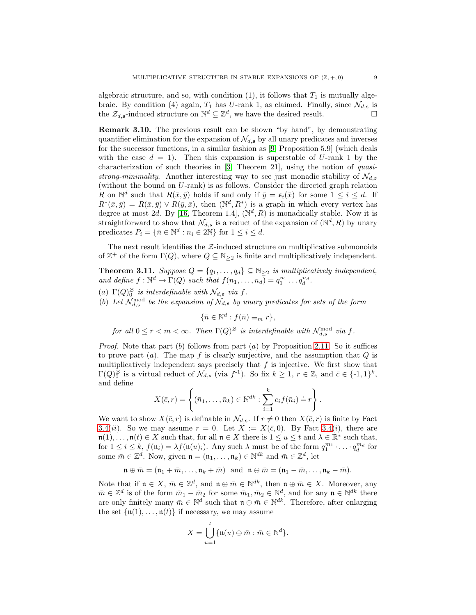algebraic structure, and so, with condition  $(1)$ , it follows that  $T_1$  is mutually algebraic. By condition (4) again,  $T_1$  has U-rank 1, as claimed. Finally, since  $\mathcal{N}_{d,\mathfrak{s}}$  is the  $\mathcal{Z}_{d,\mathfrak{s}}$ -induced structure on  $\mathbb{N}^d \subseteq \mathbb{Z}^d$ , we have the desired result.

Remark 3.10. The previous result can be shown "by hand", by demonstrating quantifier elimination for the expansion of  $\mathcal{N}_{d,s}$  by all unary predicates and inverses for the successor functions, in a similar fashion as [\[9,](#page-18-10) Proposition 5.9] (which deals with the case  $d = 1$ ). Then this expansion is superstable of U-rank 1 by the characterization of such theories in [\[3,](#page-18-5) Theorem 21], using the notion of quasistrong-minimality. Another interesting way to see just monadic stability of  $\mathcal{N}_{d,s}$ (without the bound on U-rank) is as follows. Consider the directed graph relation R on  $\mathbb{N}^d$  such that  $R(\bar{x}, \bar{y})$  holds if and only if  $\bar{y} = \mathfrak{s}_i(\bar{x})$  for some  $1 \leq i \leq d$ . If  $R^*(\bar{x}, \bar{y}) = R(\bar{x}, \bar{y}) \vee R(\bar{y}, \bar{x}),$  then  $(\mathbb{N}^d, R^*)$  is a graph in which every vertex has degree at most 2d. By [\[16,](#page-18-20) Theorem 1.4],  $(\mathbb{N}^d, R)$  is monadically stable. Now it is straightforward to show that  $\mathcal{N}_{d,\mathfrak{s}}$  is a reduct of the expansion of  $(\mathbb{N}^d, R)$  by unary predicates  $P_i = \{ \bar{n} \in \mathbb{N}^d : n_i \in 2\mathbb{N} \}$  for  $1 \leq i \leq d$ .

The next result identifies the  $Z$ -induced structure on multiplicative submonoids of  $\mathbb{Z}^+$  of the form  $\Gamma(Q)$ , where  $Q \subseteq \mathbb{N}_{\geq 2}$  is finite and multiplicatively independent.

<span id="page-8-0"></span>**Theorem 3.11.** Suppose  $Q = \{q_1, \ldots, q_d\} \subseteq \mathbb{N}_{\geq 2}$  is multiplicatively independent, and define  $f: \mathbb{N}^d \to \Gamma(Q)$  such that  $f(n_1, \ldots, n_d) = q_1^{n_1} \ldots q_d^{n_d}$ .

- (a)  $\Gamma(Q)_0^{\succeq}$  is interdefinable with  $\mathcal{N}_{d,\mathfrak{s}}$  via f.
- (b) Let  $\mathcal{N}_{d,\mathfrak{s}}^{\text{mod}}$  be the expansion of  $\mathcal{N}_{d,\mathfrak{s}}$  by unary predicates for sets of the form

 $\{\bar{n} \in \mathbb{N}^d : f(\bar{n}) \equiv_m r\},\$ 

for all  $0 \le r < m < \infty$ . Then  $\Gamma(Q)^{\mathcal{Z}}$  is interdefinable with  $\mathcal{N}_{d,\mathfrak{s}}^{\text{mod}}$  via f.

*Proof.* Note that part (b) follows from part (a) by Proposition [2.11.](#page-4-0) So it suffices to prove part  $(a)$ . The map f is clearly surjective, and the assumption that  $Q$  is multiplicatively independent says precisely that  $f$  is injective. We first show that  $\Gamma(Q)_{0}^{\mathcal{Z}}$  is a virtual reduct of  $\mathcal{N}_{d,\mathfrak{s}}$  (via  $f^{-1}$ ). So fix  $k \geq 1, r \in \mathbb{Z}$ , and  $\bar{c} \in \{-1,1\}^{k}$ , and define

$$
X(\bar{c},r) = \left\{ (\bar{n}_1,\ldots,\bar{n}_k) \in \mathbb{N}^{dk} : \sum_{i=1}^k c_i f(\bar{n}_i) \doteq r \right\}.
$$

We want to show  $X(\bar{c}, r)$  is definable in  $\mathcal{N}_{d,s}$ . If  $r \neq 0$  then  $X(\bar{c}, r)$  is finite by Fact [3.4\(](#page-6-0)ii). So we may assume  $r = 0$ . Let  $X := X(\bar{c}, 0)$ . By Fact [3.4\(](#page-6-0)i), there are  $\mathfrak{n}(1), \ldots, \mathfrak{n}(t) \in X$  such that, for all  $\mathfrak{n} \in X$  there is  $1 \le u \le t$  and  $\lambda \in \mathbb{R}^*$  such that, for  $1 \leq i \leq k$ ,  $f(\mathfrak{n}_i) = \lambda f(\mathfrak{n}(u)_i)$ . Any such  $\lambda$  must be of the form  $q_1^{m_1} \cdot \ldots \cdot q_d^{m_d}$  for some  $\bar{m} \in \mathbb{Z}^d$ . Now, given  $\mathfrak{n} = (\mathfrak{n}_1, \dots, \mathfrak{n}_k) \in \mathbb{N}^{dk}$  and  $\bar{m} \in \mathbb{Z}^d$ , let

$$
\mathfrak{n}\oplus\bar{m}=(\mathfrak{n}_1+\bar{m},\ldots,\mathfrak{n}_k+\bar{m})\ \ \text{and}\ \ \mathfrak{n}\ominus\bar{m}=(\mathfrak{n}_1-\bar{m},\ldots,\mathfrak{n}_k-\bar{m}).
$$

Note that if  $\mathfrak{n} \in X$ ,  $\bar{m} \in \mathbb{Z}^d$ , and  $\mathfrak{n} \oplus \bar{m} \in \mathbb{N}^{dk}$ , then  $\mathfrak{n} \oplus \bar{m} \in X$ . Moreover, any  $\bar{m} \in \mathbb{Z}^d$  is of the form  $\bar{m}_1 - \bar{m}_2$  for some  $\bar{m}_1, \bar{m}_2 \in \mathbb{N}^d$ , and for any  $\mathfrak{n} \in \mathbb{N}^{dk}$  there are only finitely many  $\bar{m} \in \mathbb{N}^d$  such that  $\mathfrak{n} \in \mathbb{N}^{dk}$ . Therefore, after enlarging the set  $\{\mathfrak{n}(1), \ldots, \mathfrak{n}(t)\}\$ if necessary, we may assume

$$
X=\bigcup_{u=1}^t \{\mathfrak{n}(u)\oplus \bar{m}: \bar{m}\in \mathbb{N}^d\}.
$$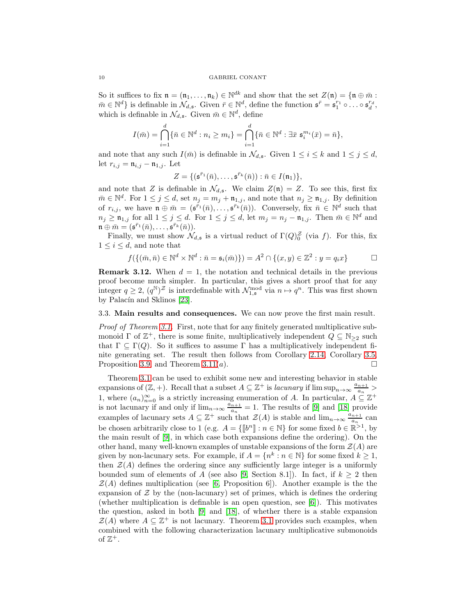So it suffices to fix  $\mathfrak{n} = (\mathfrak{n}_1, \dots, \mathfrak{n}_k) \in \mathbb{N}^{dk}$  and show that the set  $Z(\mathfrak{n}) = {\mathfrak{n} \oplus \bar{m}}$ :  $\bar{m} \in \mathbb{N}^d$  is definable in  $\mathcal{N}_{d,\mathfrak{s}}$ . Given  $\bar{r} \in \mathbb{N}^d$ , define the function  $\mathfrak{s}^{\bar{r}} = \mathfrak{s}_1^{r_1} \circ \ldots \circ \mathfrak{s}_d^{r_d}$ , which is definable in  $\mathcal{N}_{d,\mathfrak{s}}$ . Given  $\bar{m} \in \mathbb{N}^d$ , define

$$
I(\bar{m}) = \bigcap_{i=1}^d \{ \bar{n} \in \mathbb{N}^d : n_i \ge m_i \} = \bigcap_{i=1}^d \{ \bar{n} \in \mathbb{N}^d : \exists \bar{x} \mathfrak{s}_i^{m_i}(\bar{x}) = \bar{n} \},
$$

and note that any such  $I(\bar{m})$  is definable in  $\mathcal{N}_{d,s}$ . Given  $1 \leq i \leq k$  and  $1 \leq j \leq d$ , let  $r_{i,j} = \mathfrak{n}_{i,j} - \mathfrak{n}_{1,j}$ . Let

$$
Z = \{(\mathfrak{s}^{\bar{r}_1}(\bar{n}), \ldots, \mathfrak{s}^{\bar{r}_k}(\bar{n})) : \bar{n} \in I(\mathfrak{n}_1)\},\
$$

and note that Z is definable in  $\mathcal{N}_{d,\mathfrak{s}}$ . We claim  $Z(\mathfrak{n}) = Z$ . To see this, first fix  $\bar{m} \in \mathbb{N}^d$ . For  $1 \leq j \leq d$ , set  $n_j = m_j + \mathfrak{n}_{1,j}$ , and note that  $n_j \geq \mathfrak{n}_{1,j}$ . By definition of  $r_{i,j}$ , we have  $\mathfrak{n} \oplus \bar{m} = (\mathfrak{s}^{\bar{r}_1}(\bar{n}), \ldots, \mathfrak{s}^{\bar{r}_k}(\bar{n}))$ . Conversely, fix  $\bar{n} \in \mathbb{N}^d$  such that  $n_j \geq \mathfrak{n}_{1,j}$  for all  $1 \leq j \leq d$ . For  $1 \leq j \leq d$ , let  $m_j = n_j - \mathfrak{n}_{1,j}$ . Then  $\bar{m} \in \mathbb{N}^d$  and  $\mathfrak{n} \oplus \bar{m} = (\mathfrak{s}^{\bar{r}_1}(\bar{n}), \ldots, \mathfrak{s}^{\bar{r}_k}(\bar{n})).$ 

Finally, we must show  $\mathcal{N}_{d,s}$  is a virtual reduct of  $\Gamma(Q)_{0}^{\mathcal{Z}}$  (via f). For this, fix  $1 \leq i \leq d$ , and note that

$$
f(\{(\bar{m}, \bar{n}) \in \mathbb{N}^d \times \mathbb{N}^d : \bar{n} = \mathfrak{s}_i(\bar{m})\}) = A^2 \cap \{(x, y) \in \mathbb{Z}^2 : y = q_i x\} \square
$$

**Remark 3.12.** When  $d = 1$ , the notation and technical details in the previous proof become much simpler. In particular, this gives a short proof that for any integer  $q \ge 2$ ,  $(q^{\mathbb{N}})^{\mathcal{Z}}$  is interdefinable with  $\mathcal{N}_{1,\mathfrak{s}}^{\text{mod}}$  via  $n \mapsto q^n$ . This was first shown by Palacín and Sklinos [\[23\]](#page-18-9).

### 3.3. Main results and consequences. We can now prove the first main result.

Proof of Theorem [3.1.](#page-5-0) First, note that for any finitely generated multiplicative submonoid  $\Gamma$  of  $\mathbb{Z}^+$ , there is some finite, multiplicatively independent  $Q \subseteq \mathbb{N}_{\geq 2}$  such that  $\Gamma \subseteq \Gamma(Q)$ . So it suffices to assume  $\Gamma$  has a multiplicatively independent finite generating set. The result then follows from Corollary [2.14,](#page-5-1) Corollary [3.5,](#page-7-1) Proposition [3.9,](#page-7-0) and Theorem [3.11\(](#page-8-0)*a*).

Theorem [3.1](#page-5-0) can be used to exhibit some new and interesting behavior in stable expansions of  $(\mathbb{Z}, +)$ . Recall that a subset  $A \subseteq \mathbb{Z}^+$  is *lacunary* if  $\limsup_{n \to \infty} \frac{a_{n+1}}{a_n}$  $\frac{n+1}{a_n}$ 1, where  $(a_n)_{n=0}^{\infty}$  is a strictly increasing enumeration of A. In particular,  $A \subseteq \mathbb{Z}^+$ is not lacunary if and only if  $\lim_{n\to\infty} \frac{a_{n+1}}{a_n}$  $\frac{n+1}{a_n} = 1$ . The results of [\[9\]](#page-18-10) and [\[18\]](#page-18-11) provide examples of lacunary sets  $A \subseteq \mathbb{Z}^+$  such that  $\mathcal{Z}(A)$  is stable and  $\lim_{n\to\infty} \frac{a_{n+1}}{a_n}$  $\frac{n+1}{a_n}$  can be chosen arbitrarily close to 1 (e.g.  $A = \{\llbracket b^n \rrbracket : n \in \mathbb{N}\}\$  for some fixed  $b \in \mathbb{R}^{>1}$ , by the main result of [\[9\]](#page-18-10), in which case both expansions define the ordering). On the other hand, many well-known examples of unstable expansions of the form  $\mathcal{Z}(A)$  are given by non-lacunary sets. For example, if  $A = \{n^k : n \in \mathbb{N}\}\)$  for some fixed  $k \geq 1$ , then  $\mathcal{Z}(A)$  defines the ordering since any sufficiently large integer is a uniformly bounded sum of elements of A (see also [\[9,](#page-18-10) Section 8.1]). In fact, if  $k \geq 2$  then  $\mathcal{Z}(A)$  defines multiplication (see [\[6,](#page-18-21) Proposition 6]). Another example is the the expansion of  $\mathcal Z$  by the (non-lacunary) set of primes, which is defines the ordering (whether multiplication is definable is an open question, see  $[6]$ ). This motivates the question, asked in both [\[9\]](#page-18-10) and [\[18\]](#page-18-11), of whether there is a stable expansion  $\mathcal{Z}(A)$  where  $A \subseteq \mathbb{Z}^+$  is not lacunary. Theorem [3.1](#page-5-0) provides such examples, when combined with the following characterization lacunary multiplicative submonoids of  $\mathbb{Z}^+$ .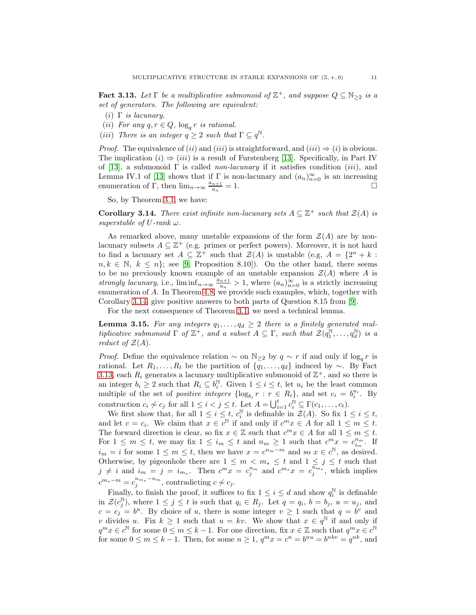<span id="page-10-1"></span>**Fact 3.13.** Let  $\Gamma$  be a multiplicative submonoid of  $\mathbb{Z}^+$ , and suppose  $Q \subseteq \mathbb{N}_{\geq 2}$  is a set of generators. The following are equivalent:

- (i)  $\Gamma$  is lacunary.
- (*ii*) For any  $q, r \in Q$ ,  $\log_q r$  is rational.
- (iii) There is an integer  $q \geq 2$  such that  $\Gamma \subseteq q^{\mathbb{N}}$ .

*Proof.* The equivalence of (ii) and (iii) is straightforward, and (iii)  $\Rightarrow$  (i) is obvious. The implication  $(i) \Rightarrow (iii)$  is a result of Furstenberg [\[13\]](#page-18-13). Specifically, in Part IV of [\[13\]](#page-18-13), a submonoid  $\Gamma$  is called *non-lacunary* if it satisfies condition (*iii*), and Lemma IV.1 of [\[13\]](#page-18-13) shows that if  $\Gamma$  is non-lacunary and  $(a_n)_{n=0}^{\infty}$  is an increasing enumeration of  $\Gamma$ , then  $\lim_{n\to\infty} \frac{a_{n+1}}{a_n}$  $\overline{a_n}$  $= 1.$ 

So, by Theorem [3.1,](#page-5-0) we have:

<span id="page-10-0"></span>**Corollary 3.14.** There exist infinite non-lacunary sets  $A \subseteq \mathbb{Z}^+$  such that  $\mathcal{Z}(A)$  is superstable of U-rank  $\omega$ .

As remarked above, many unstable expansions of the form  $\mathcal{Z}(A)$  are by nonlacunary subsets  $A \subseteq \mathbb{Z}^+$  (e.g. primes or perfect powers). Moreover, it is not hard to find a lacunary set  $A \subseteq \mathbb{Z}^+$  such that  $\mathcal{Z}(A)$  is unstable (e.g,  $A = \{2^n + k :$  $n, k \in \mathbb{N}, k \leq n$ ; see [\[9,](#page-18-10) Proposition 8.10]). On the other hand, there seems to be no previously known example of an unstable expansion  $\mathcal{Z}(A)$  where A is strongly lacunary, i.e.,  $\liminf_{n\to\infty} \frac{a_{n+1}}{a_n}$  $\frac{n+1}{a_n} > 1$ , where  $(a_n)_{n=0}^{\infty}$  is a strictly increasing enumeration of A. In Theorem [4.8,](#page-12-1) we provide such examples, which, together with Corollary [3.14,](#page-10-0) give positive answers to both parts of Question 8.15 from [\[9\]](#page-18-10).

For the next consequence of Theorem [3.1,](#page-5-0) we need a technical lemma.

<span id="page-10-2"></span>**Lemma 3.15.** For any integers  $q_1, \ldots, q_d \geq 2$  there is a finitely generated multiplicative submonoid  $\Gamma$  of  $\mathbb{Z}^+$ , and a subset  $A \subseteq \Gamma$ , such that  $\mathcal{Z}(q_1^{\mathbb{N}}, \ldots, q_d^{\mathbb{N}})$  is a reduct of  $\mathcal{Z}(A)$ .

*Proof.* Define the equivalence relation  $\sim$  on  $\mathbb{N}_{\geq 2}$  by  $q \sim r$  if and only if  $\log_q r$  is rational. Let  $R_1, \ldots, R_t$  be the partition of  $\{q_1, \ldots, q_d\}$  induced by ∼. By Fact [3.13,](#page-10-1) each  $R_i$  generates a lacunary multiplicative submonoid of  $\mathbb{Z}^+$ , and so there is an integer  $b_i \geq 2$  such that  $R_i \subseteq b_i^{\mathbb{N}}$ . Given  $1 \leq i \leq t$ , let  $u_i$  be the least common multiple of the set of *positive integers*  $\{\log_{b_i} r : r \in R_i\}$ , and set  $c_i = b_i^{u_i}$ . By construction  $c_i \nsim c_j$  for all  $1 \leq i < j \leq t$ . Let  $A = \bigcup_{i=1}^t c_i^{\mathbb{N}} \subseteq \Gamma(c_1, \ldots, c_t)$ .

We first show that, for all  $1 \leq i \leq t$ ,  $c_i^{\mathbb{N}}$  is definable in  $\mathcal{Z}(A)$ . So fix  $1 \leq i \leq t$ , and let  $c = c_i$ . We claim that  $x \in c^{\mathbb{N}}$  if and only if  $c^m x \in A$  for all  $1 \leq m \leq t$ . The forward direction is clear, so fix  $x \in \mathbb{Z}$  such that  $c^m x \in A$  for all  $1 \leq m \leq t$ . For  $1 \leq m \leq t$ , we may fix  $1 \leq i_m \leq t$  and  $n_m \geq 1$  such that  $c^m x = c_{i_m}^{n_m}$ . If  $i_m = i$  for some  $1 \leq m \leq t$ , then we have  $x = c^{n_m-m}$  and so  $x \in c^{\mathbb{N}}$ , as desired. Otherwise, by pigeonhole there are  $1 \leq m < m_* \leq t$  and  $1 \leq j \leq t$  such that  $j \neq i$  and  $i_m = j = i_{m_*}$ . Then  $c^m x = c_j^{n_m}$  and  $c^{m_*} x = c_j^{\overline{n_m} *}$ , which implies  $c^{m_*-m} = c_j^{n_{m_*}-n_m}$ , contradicting  $c \not\sim c_j$ .

Finally, to finish the proof, it suffices to fix  $1 \leq i \leq d$  and show  $q_i^{\mathbb{N}}$  is definable in  $\mathcal{Z}(c_j^{\mathbb{N}})$ , where  $1 \leq j \leq t$  is such that  $q_i \in R_j$ . Let  $q = q_i$ ,  $b = b_j$ ,  $u = u_j$ , and  $c = c_j = b^u$ . By choice of u, there is some integer  $v \ge 1$  such that  $q = b^v$  and v divides u. Fix  $k \geq 1$  such that  $u = kv$ . We show that  $x \in q^{\mathbb{N}}$  if and only if  $q^m x \in c^{\mathbb{N}}$  for some  $0 \leq m \leq k-1$ . For one direction, fix  $x \in \mathbb{Z}$  such that  $q^m x \in c^{\mathbb{N}}$ for some  $0 \le m \le k-1$ . Then, for some  $n \ge 1$ ,  $q^m x = c^n = b^{nu} = b^{nkv} = q^{nk}$ , and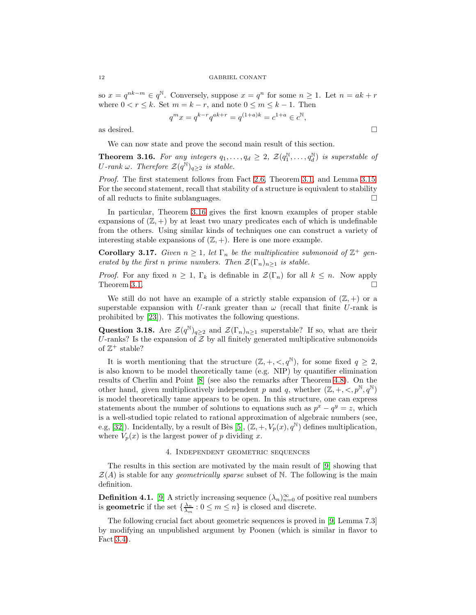so  $x = q^{nk-m} \in q^{\mathbb{N}}$ . Conversely, suppose  $x = q^n$  for some  $n \ge 1$ . Let  $n = ak + r$ where  $0 < r \leq k$ . Set  $m = k - r$ , and note  $0 \leq m \leq k - 1$ . Then

$$
q^m x = q^{k-r} q^{ak+r} = q^{(1+a)k} = c^{1+a} \in c^{\mathbb{N}},
$$

as desired.  $\Box$ 

We can now state and prove the second main result of this section.

<span id="page-11-0"></span>**Theorem 3.16.** For any integers  $q_1, \ldots, q_d \geq 2$ ,  $\mathcal{Z}(q_1^{\mathbb{N}}, \ldots, q_d^{\mathbb{N}})$  is superstable of U-rank  $\omega$ . Therefore  $\mathcal{Z}(q^{\mathbb{N}})_{q\geq 2}$  is stable.

Proof. The first statement follows from Fact [2.6,](#page-4-1) Theorem [3.1,](#page-5-0) and Lemma [3.15.](#page-10-2) For the second statement, recall that stability of a structure is equivalent to stability of all reducts to finite sublanguages.

In particular, Theorem [3.16](#page-11-0) gives the first known examples of proper stable expansions of  $(\mathbb{Z}, +)$  by at least two unary predicates each of which is undefinable from the others. Using similar kinds of techniques one can construct a variety of interesting stable expansions of  $(\mathbb{Z}, +)$ . Here is one more example.

**Corollary 3.17.** Given  $n \geq 1$ , let  $\Gamma_n$  be the multiplicative submonoid of  $\mathbb{Z}^+$  generated by the first n prime numbers. Then  $\mathcal{Z}(\Gamma_n)_{n>1}$  is stable.

*Proof.* For any fixed  $n \geq 1$ ,  $\Gamma_k$  is definable in  $\mathcal{Z}(\Gamma_n)$  for all  $k \leq n$ . Now apply Theorem [3.1.](#page-5-0)  $\Box$ 

We still do not have an example of a strictly stable expansion of  $(\mathbb{Z}, +)$  or a superstable expansion with U-rank greater than  $\omega$  (recall that finite U-rank is prohibited by [\[23\]](#page-18-9)). This motivates the following questions.

Question 3.18. Are  $\mathcal{Z}(q^{\mathbb{N}})_{q\geq 2}$  and  $\mathcal{Z}(\Gamma_n)_{n\geq 1}$  superstable? If so, what are their U-ranks? Is the expansion of  $Z$  by all finitely generated multiplicative submonoids of  $\mathbb{Z}^+$  stable?

It is worth mentioning that the structure  $(\mathbb{Z}, +, <, q^{\mathbb{N}})$ , for some fixed  $q \geq 2$ , is also known to be model theoretically tame (e.g. NIP) by quantifier elimination results of Cherlin and Point [\[8\]](#page-18-22) (see also the remarks after Theorem [4.8\)](#page-12-1). On the other hand, given multiplicatively independent p and q, whether  $(\mathbb{Z}, +, <, p^{\mathbb{N}}, q^{\mathbb{N}})$ is model theoretically tame appears to be open. In this structure, one can express statements about the number of solutions to equations such as  $p^x - q^y = z$ , which is a well-studied topic related to rational approximation of algebraic numbers (see, e.g, [\[32\]](#page-19-5)). Incidentally, by a result of Bès [\[5\]](#page-18-23),  $(\mathbb{Z}, +, V_p(x), q^{\mathbb{N}})$  defines multiplication, where  $V_p(x)$  is the largest power of p dividing x.

# 4. Independent geometric sequences

The results in this section are motivated by the main result of [\[9\]](#page-18-10) showing that  $\mathcal{Z}(A)$  is stable for any *geometrically sparse* subset of N. The following is the main definition.

**Definition 4.1.** [\[9\]](#page-18-10) A strictly increasing sequence  $(\lambda_n)_{n=0}^{\infty}$  of positive real numbers is **geometric** if the set  $\{\frac{\lambda_n}{\lambda_m} : 0 \leq m \leq n\}$  is closed and discrete.

The following crucial fact about geometric sequences is proved in [\[9,](#page-18-10) Lemma 7.3] by modifying an unpublished argument by Poonen (which is similar in flavor to Fact [3.4\)](#page-6-0).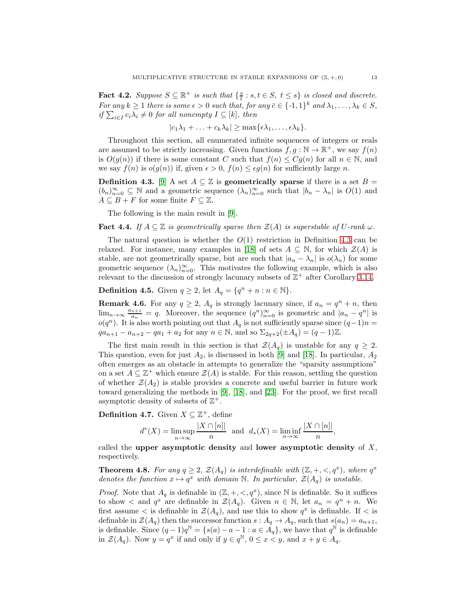<span id="page-12-4"></span>**Fact 4.2.** Suppose  $S \subseteq \mathbb{R}^+$  is such that  $\{\frac{s}{t} : s, t \in S, t \leq s\}$  is closed and discrete. For any  $k \geq 1$  there is some  $\epsilon > 0$  such that, for any  $\bar{c} \in \{-1,1\}^k$  and  $\lambda_1, \ldots, \lambda_k \in S$ , if  $\sum_{i\in I} c_i \lambda_i \neq 0$  for all nonempty  $I \subseteq [k]$ , then

$$
|c_1\lambda_1+\ldots+c_k\lambda_k|\geq \max\{\epsilon\lambda_1,\ldots,\epsilon\lambda_k\}.
$$

Throughout this section, all enumerated infinite sequences of integers or reals are assumed to be strictly increasing. Given functions  $f, g : \mathbb{N} \to \mathbb{R}^+$ , we say  $f(n)$ is  $O(g(n))$  if there is some constant C such that  $f(n) \leq Cg(n)$  for all  $n \in \mathbb{N}$ , and we say  $f(n)$  is  $o(g(n))$  if, given  $\epsilon > 0$ ,  $f(n) \leq \epsilon g(n)$  for sufficiently large n.

<span id="page-12-0"></span>**Definition 4.3.** [\[9\]](#page-18-10) A set  $A \subseteq \mathbb{Z}$  is **geometrically sparse** if there is a set  $B =$  $(b_n)_{n=0}^{\infty} \subseteq \mathbb{N}$  and a geometric sequence  $(\lambda_n)_{n=0}^{\infty}$  such that  $|b_n - \lambda_n|$  is  $O(1)$  and  $A \subseteq B + F$  for some finite  $F \subseteq \mathbb{Z}$ .

The following is the main result in [\[9\]](#page-18-10).

<span id="page-12-3"></span>**Fact 4.4.** If  $A \subseteq \mathbb{Z}$  is geometrically sparse then  $\mathcal{Z}(A)$  is superstable of U-rank  $\omega$ .

The natural question is whether the  $O(1)$  restriction in Definition [4.3](#page-12-0) can be relaxed. For instance, many examples in [\[18\]](#page-18-11) of sets  $A \subseteq \mathbb{N}$ , for which  $\mathcal{Z}(A)$  is stable, are not geometrically sparse, but are such that  $|a_n - \lambda_n|$  is  $o(\lambda_n)$  for some geometric sequence  $(\lambda_n)_{n=0}^{\infty}$ . This motivates the following example, which is also relevant to the discussion of strongly lacunary subsets of  $\mathbb{Z}^+$  after Corollary [3.14.](#page-10-0)

**Definition 4.5.** Given  $q \geq 2$ , let  $A_q = \{q^n + n : n \in \mathbb{N}\}.$ 

<span id="page-12-2"></span>**Remark 4.6.** For any  $q \ge 2$ ,  $A_q$  is strongly lacunary since, if  $a_n = q^n + n$ , then  $\lim_{n\to\infty}\frac{a_{n+1}}{a_n}$  $\frac{n+1}{a_n} = q$ . Moreover, the sequence  $(q^n)_{n=0}^{\infty}$  is geometric and  $|a_n - q^n|$  is  $o(q^n)$ . It is also worth pointing out that  $A_q$  is not sufficiently sparse since  $(q-1)n =$  $qa_{n+1} - a_{n+2} - qa_1 + a_2$  for any  $n \in \mathbb{N}$ , and so  $\Sigma_{2q+2}(\pm A_q) = (q-1)\mathbb{Z}$ .

The first main result in this section is that  $\mathcal{Z}(A_q)$  is unstable for any  $q \geq 2$ . This question, even for just  $A_2$ , is discussed in both [\[9\]](#page-18-10) and [\[18\]](#page-18-11). In particular,  $A_2$ often emerges as an obstacle in attempts to generalize the "sparsity assumptions" on a set  $A \subseteq \mathbb{Z}^+$  which ensure  $\mathcal{Z}(A)$  is stable. For this reason, settling the question of whether  $\mathcal{Z}(A_2)$  is stable provides a concrete and useful barrier in future work toward generalizing the methods in [\[9\]](#page-18-10), [\[18\]](#page-18-11), and [\[23\]](#page-18-9). For the proof, we first recall asymptotic density of subsets of  $\mathbb{Z}^+$ .

**Definition 4.7.** Given  $X \subseteq \mathbb{Z}^+$ , define

$$
d^*(X) = \limsup_{n \to \infty} \frac{|X \cap [n]|}{n}
$$
 and 
$$
d_*(X) = \liminf_{n \to \infty} \frac{|X \cap [n]|}{n},
$$

called the upper asymptotic density and lower asymptotic density of  $X$ , respectively.

<span id="page-12-1"></span>**Theorem 4.8.** For any  $q \geq 2$ ,  $\mathcal{Z}(A_q)$  is interdefinable with  $(\mathbb{Z}, +, <, q^x)$ , where  $q^x$ denotes the function  $x \mapsto q^x$  with domain N. In particular,  $\mathcal{Z}(A_q)$  is unstable.

*Proof.* Note that  $A_q$  is definable in  $(\mathbb{Z}, +, <, q^x)$ , since N is definable. So it suffices to show  $\lt$  and  $q^x$  are definable in  $\mathcal{Z}(A_q)$ . Given  $n \in \mathbb{N}$ , let  $a_n = q^n + n$ . We first assume  $\lt$  is definable in  $\mathcal{Z}(A_q)$ , and use this to show  $q^x$  is definable. If  $\lt$  is definable in  $\mathcal{Z}(A_q)$  then the successor function  $s : A_q \to A_q$ , such that  $s(a_n) = a_{n+1}$ , is definable. Since  $(q-1)q^{\mathbb{N}} = \{s(a) - a - 1 : a \in A_q\}$ , we have that  $q^{\mathbb{N}}$  is definable in  $\mathcal{Z}(A_q)$ . Now  $y = q^x$  if and only if  $y \in q^{\mathbb{N}}$ ,  $0 \le x < y$ , and  $x + y \in A_q$ .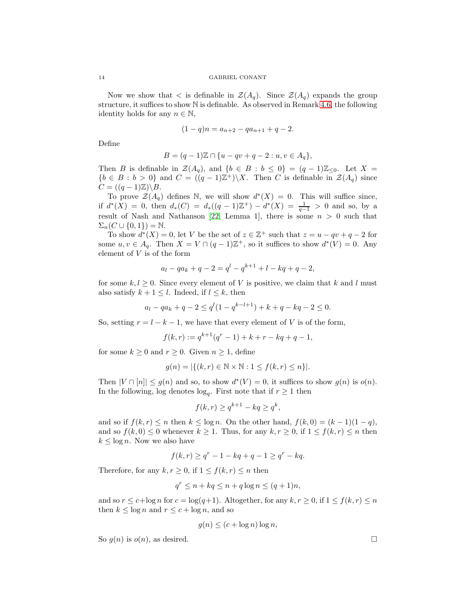Now we show that  $\lt$  is definable in  $\mathcal{Z}(A_q)$ . Since  $\mathcal{Z}(A_q)$  expands the group structure, it suffices to show N is definable. As observed in Remark [4.6,](#page-12-2) the following identity holds for any  $n \in \mathbb{N}$ ,

$$
(1-q)n = a_{n+2} - qa_{n+1} + q - 2.
$$

Define

$$
B = (q-1)\mathbb{Z} \cap \{u - qv + q - 2 : u, v \in A_q\},\
$$

Then B is definable in  $\mathcal{Z}(A_q)$ , and  $\{b \in B : b \leq 0\} = (q-1)\mathbb{Z}_{\leq 0}$ . Let  $X =$  ${b \in B : b > 0}$  and  $C = ((q - 1)Z^+) \setminus X$ . Then C is definable in  $\mathcal{Z}(A_q)$  since  $C = ((q-1)\mathbb{Z})\backslash B.$ 

To prove  $\mathcal{Z}(A_q)$  defines N, we will show  $d^*(X) = 0$ . This will suffice since, if  $d^*(X) = 0$ , then  $d_*(C) = d_*((q-1)\mathbb{Z}^+) - d^*(X) = \frac{1}{q-1} > 0$  and so, by a result of Nash and Nathanson [\[22,](#page-18-24) Lemma 1], there is some  $n > 0$  such that  $\Sigma_n(C\cup\{0,1\})=\mathbb{N}.$ 

To show  $d^*(X) = 0$ , let V be the set of  $z \in \mathbb{Z}^+$  such that  $z = u - qv + q - 2$  for some  $u, v \in A_q$ . Then  $X = V \cap (q-1)\mathbb{Z}^+$ , so it suffices to show  $d^*(V) = 0$ . Any element of V is of the form

$$
a_l - qa_k + q - 2 = q^l - q^{k+1} + l - kq + q - 2,
$$

for some  $k, l \geq 0$ . Since every element of V is positive, we claim that k and l must also satisfy  $k + 1 \leq l$ . Indeed, if  $l \leq k$ , then

$$
a_l - qa_k + q - 2 \le q^l (1 - q^{k-l+1}) + k + q - kq - 2 \le 0.
$$

So, setting  $r = l - k - 1$ , we have that every element of V is of the form,

$$
f(k,r) := q^{k+1}(q^r - 1) + k + r - kq + q - 1,
$$

for some  $k \geq 0$  and  $r \geq 0$ . Given  $n \geq 1$ , define

$$
g(n) = |\{(k, r) \in \mathbb{N} \times \mathbb{N} : 1 \le f(k, r) \le n\}|.
$$

Then  $|V \cap [n]| \le g(n)$  and so, to show  $d^*(V) = 0$ , it suffices to show  $g(n)$  is  $o(n)$ . In the following, log denotes  $log<sub>q</sub>$ . First note that if  $r \geq 1$  then

$$
f(k,r) \ge q^{k+1} - kq \ge q^k,
$$

and so if  $f(k,r) \leq n$  then  $k \leq \log n$ . On the other hand,  $f(k, 0) = (k-1)(1-q)$ , and so  $f(k, 0) \leq 0$  whenever  $k \geq 1$ . Thus, for any  $k, r \geq 0$ , if  $1 \leq f(k, r) \leq n$  then  $k \leq \log n$ . Now we also have

$$
f(k,r) \ge q^r - 1 - kq + q - 1 \ge q^r - kq.
$$

Therefore, for any  $k, r \geq 0$ , if  $1 \leq f(k,r) \leq n$  then

$$
q^r \le n + kq \le n + q \log n \le (q+1)n,
$$

and so  $r \leq c + \log n$  for  $c = \log(q+1)$ . Altogether, for any  $k, r \geq 0$ , if  $1 \leq f(k, r) \leq n$ then  $k \leq \log n$  and  $r \leq c + \log n$ , and so

$$
g(n) \le (c + \log n) \log n,
$$

So  $g(n)$  is  $o(n)$ , as desired.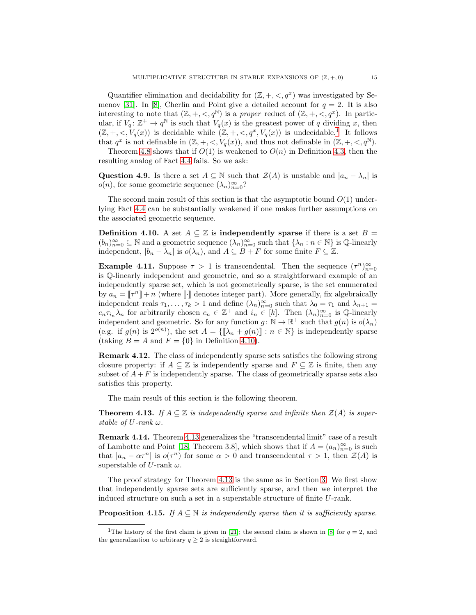Quantifier elimination and decidability for  $(\mathbb{Z}, +, <, q^x)$  was investigated by Se-menov [\[31\]](#page-19-6). In [\[8\]](#page-18-22), Cherlin and Point give a detailed account for  $q = 2$ . It is also interesting to note that  $(\mathbb{Z}, +, <, q^{\mathbb{N}})$  is a proper reduct of  $(\mathbb{Z}, +, <, q^x)$ . In particular, if  $V_q: \mathbb{Z}^+ \to q^{\mathbb{N}}$  is such that  $V_q(x)$  is the greatest power of q dividing x, then  $(\mathbb{Z}, +, <, V_q(x))$  is decidable while  $(\mathbb{Z}, +, <, q^x, V_q(x))$  is undecidable.<sup>[1](#page-14-1)</sup> It follows that  $q^x$  is not definable in  $(\mathbb{Z}, +, <, V_q(x))$ , and thus not definable in  $(\mathbb{Z}, +, <, q^{\mathbb{N}})$ .

Theorem [4.8](#page-12-1) shows that if  $O(1)$  is weakened to  $O(n)$  in Definition [4.3,](#page-12-0) then the resulting analog of Fact [4.4](#page-12-3) fails. So we ask:

Question 4.9. Is there a set  $A \subseteq \mathbb{N}$  such that  $\mathcal{Z}(A)$  is unstable and  $|a_n - \lambda_n|$  is  $o(n)$ , for some geometric sequence  $(\lambda_n)_{n=0}^{\infty}$ ?

The second main result of this section is that the asymptotic bound  $O(1)$  underlying Fact [4.4](#page-12-3) can be substantially weakened if one makes further assumptions on the associated geometric sequence.

<span id="page-14-2"></span>**Definition 4.10.** A set  $A \subseteq \mathbb{Z}$  is independently sparse if there is a set  $B =$  $(b_n)_{n=0}^{\infty} \subseteq \mathbb{N}$  and a geometric sequence  $(\lambda_n)_{n=0}^{\infty}$  such that  $\{\lambda_n : n \in \mathbb{N}\}\$  is  $\mathbb{Q}$ -linearly independent,  $|b_n - \lambda_n|$  is  $o(\lambda_n)$ , and  $A \subseteq B + F$  for some finite  $F \subseteq \mathbb{Z}$ .

<span id="page-14-4"></span>**Example 4.11.** Suppose  $\tau > 1$  is transcendental. Then the sequence  $(\tau^n)_{n=0}^{\infty}$ is Q-linearly independent and geometric, and so a straightforward example of an independently sparse set, which is not geometrically sparse, is the set enumerated by  $a_n = \llbracket \tau^n \rrbracket + n$  (where  $\llbracket \cdot \rrbracket$  denotes integer part). More generally, fix algebraically independent reals  $\tau_1, \ldots, \tau_k > 1$  and define  $(\lambda_n)_{n=0}^{\infty}$  such that  $\lambda_0 = \tau_1$  and  $\lambda_{n+1} =$  $c_n \tau_{i_n} \lambda_n$  for arbitrarily chosen  $c_n \in \mathbb{Z}^+$  and  $i_n \in [k]$ . Then  $(\lambda_n)_{n=0}^{\infty}$  is  $\mathbb{Q}$ -linearly independent and geometric. So for any function  $g: \mathbb{N} \to \mathbb{R}^+$  such that  $g(n)$  is  $o(\lambda_n)$ (e.g. if  $g(n)$  is  $2^{o(n)}$ ), the set  $A = \{\llbracket \lambda_n + g(n) \rrbracket : n \in \mathbb{N}\}\$ is independently sparse (taking  $B = A$  and  $F = \{0\}$  in Definition [4.10\)](#page-14-2).

Remark 4.12. The class of independently sparse sets satisfies the following strong closure property: if  $A \subseteq \mathbb{Z}$  is independently sparse and  $F \subseteq \mathbb{Z}$  is finite, then any subset of  $A + F$  is independently sparse. The class of geometrically sparse sets also satisfies this property.

The main result of this section is the following theorem.

<span id="page-14-0"></span>**Theorem 4.13.** If  $A \subseteq \mathbb{Z}$  is independently sparse and infinite then  $\mathcal{Z}(A)$  is superstable of  $U$ -rank  $\omega$ .

Remark 4.14. Theorem [4.13](#page-14-0) generalizes the "transcendental limit" case of a result of Lambotte and Point [\[18,](#page-18-11) Theorem 3.8], which shows that if  $A = (a_n)_{n=0}^{\infty}$  is such that  $|a_n - \alpha \tau^n|$  is  $o(\tau^n)$  for some  $\alpha > 0$  and transcendental  $\tau > 1$ , then  $\mathcal{Z}(A)$  is superstable of U-rank  $\omega$ .

The proof strategy for Theorem [4.13](#page-14-0) is the same as in Section [3.](#page-5-3) We first show that independently sparse sets are sufficiently sparse, and then we interpret the induced structure on such a set in a superstable structure of finite U-rank.

<span id="page-14-3"></span>**Proposition 4.15.** If  $A \subseteq \mathbb{N}$  is independently sparse then it is sufficiently sparse.

<span id="page-14-1"></span><sup>&</sup>lt;sup>1</sup>The history of the first claim is given in [\[21\]](#page-18-25); the second claim is shown in [\[8\]](#page-18-22) for  $q = 2$ , and the generalization to arbitrary  $q \geq 2$  is straightforward.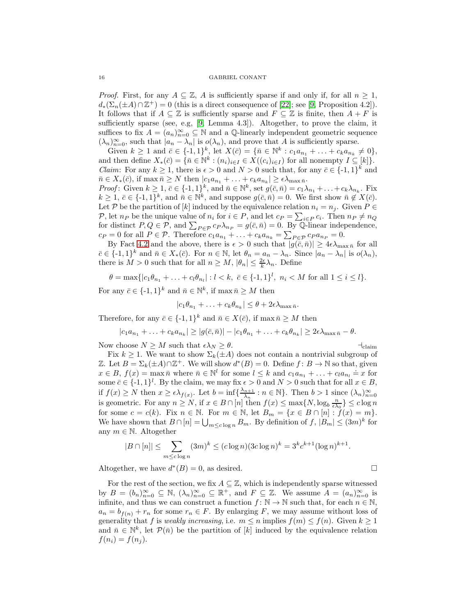*Proof.* First, for any  $A \subseteq \mathbb{Z}$ , A is sufficiently sparse if and only if, for all  $n \geq 1$ ,  $d_*(\Sigma_n(\pm A)\cap \mathbb{Z}^+)=0$  (this is a direct consequence of [\[22\]](#page-18-24); see [\[9,](#page-18-10) Proposition 4.2]). It follows that if  $A \subseteq \mathbb{Z}$  is sufficiently sparse and  $F \subseteq \mathbb{Z}$  is finite, then  $A + F$  is sufficiently sparse (see, e.g, [\[9,](#page-18-10) Lemma 4.3]). Altogether, to prove the claim, it suffices to fix  $A = (a_n)_{n=0}^{\infty} \subseteq \mathbb{N}$  and a Q-linearly independent geometric sequence  $(\lambda_n)_{n=0}^{\infty}$ , such that  $|a_n - \lambda_n|$  is  $o(\lambda_n)$ , and prove that A is sufficiently sparse.

Given  $k \ge 1$  and  $\bar{c} \in \{-1,1\}^k$ , let  $X(\bar{c}) = \{\bar{n} \in \mathbb{N}^k : c_1 a_{n_1} + \ldots + c_k a_{n_k} \ne 0\},\$ and then define  $X_*(\bar{c}) = \{\bar{n} \in \mathbb{N}^k : (n_i)_{i \in I} \in X((c_i)_{i \in I})\}$  for all nonempty  $I \subseteq [k]\}.$ *Claim:* For any  $k \geq 1$ , there is  $\epsilon > 0$  and  $N > 0$  such that, for any  $\bar{c} \in \{-1,1\}^k$  and  $\bar{n} \in X_*(\bar{c}),$  if  $\max \bar{n} \ge N$  then  $|c_1a_{n_1} + \ldots + c_ka_{n_k}| \ge \epsilon \lambda_{\max \bar{n}}.$ 

*Proof*: Given  $k \geq 1$ ,  $\bar{c} \in \{-1, 1\}^k$ , and  $\bar{n} \in \mathbb{N}^k$ , set  $g(\bar{c}, \bar{n}) = c_1 \lambda_{n_1} + \ldots + c_k \lambda_{n_k}$ . Fix  $k \geq 1, \, \bar{c} \in \{-1,1\}^k$ , and  $\bar{n} \in \mathbb{N}^k$ , and suppose  $g(\bar{c}, \bar{n}) = 0$ . We first show  $\bar{n} \notin X(\bar{c})$ . Let P be the partition of [k] induced by the equivalence relation  $n_i = n_j$ . Given  $P \in$ P, let  $n_P$  be the unique value of  $n_i$  for  $i \in P$ , and let  $c_P = \sum_{i \in P} c_i$ . Then  $n_P \neq n_Q$ F, let  $h_p$  be the dilique value of  $h_i$  for  $i \in I$ , and let  $c_p - \sum_{i \in P} c_i$ . Then  $h_p + h_q$  for distinct  $P, Q \in \mathcal{P}$ , and  $\sum_{i \in P} c_i \lambda_{n_i} = g(\bar{c}, \bar{n}) = 0$ . By Q-linear independence,  $c_P = 0$  for all  $P \in \mathcal{P}$ . Therefore  $c_1 a_{n_1} + \ldots + c_k a_{n_k} = \sum_{P \in \mathcal{P}} c_P a_{n_P} = 0$ .

By Fact [4.2](#page-12-4) and the above, there is  $\epsilon > 0$  such that  $|g(\bar{c}, \bar{n})| \geq 4\epsilon \lambda_{\max \bar{n}}$  for all  $\bar{c} \in \{-1,1\}^k$  and  $\bar{n} \in X_*(\bar{c})$ . For  $n \in \mathbb{N}$ , let  $\theta_n = a_n - \lambda_n$ . Since  $|a_n - \lambda_n|$  is  $o(\lambda_n)$ , there is  $M > 0$  such that for all  $n \ge M$ ,  $|\theta_n| \le \frac{2\epsilon}{k} \lambda_n$ . Define

 $\theta = \max\{|c_1\theta_{n_1} + \ldots + c_l\theta_{n_l}| : l < k, \bar{c} \in \{-1,1\}^l, n_i < M \text{ for all } 1 \leq i \leq l\}.$ 

For any  $\bar{c} \in \{-1,1\}^k$  and  $\bar{n} \in \mathbb{N}^k$ , if  $\max \bar{n} \geq M$  then

$$
|c_1\theta_{n_1} + \ldots + c_k\theta_{n_k}| \leq \theta + 2\epsilon\lambda_{\max \bar{n}}.
$$

Therefore, for any  $\bar{c} \in \{-1,1\}^k$  and  $\bar{n} \in X(\bar{c})$ , if max  $\bar{n} \geq M$  then

$$
|c_1a_{n_1}+\ldots+c_ka_{n_k}|\geq |g(\bar{c},\bar{n})|-|c_1\theta_{n_1}+\ldots+c_k\theta_{n_k}|\geq 2\epsilon\lambda_{\max}\bar{n}-\theta.
$$

Now choose  $N \geq M$  such that  $\epsilon \lambda_N \geq \theta$ .  $\qquad \qquad \vdots$ 

Fix  $k \geq 1$ . We want to show  $\Sigma_k(\pm A)$  does not contain a nontrivial subgroup of Z. Let  $B = \Sigma_k(\pm A) \cap \mathbb{Z}^+$ . We will show  $d^*(B) = 0$ . Define  $f : B \to \mathbb{N}$  so that, given  $x \in B$ ,  $f(x) = \max \bar{n}$  where  $\bar{n} \in \mathbb{N}^l$  for some  $l \leq k$  and  $c_1 a_{n_1} + \ldots + c_l a_{n_l} \doteq x$  for some  $\bar{c} \in \{-1,1\}^l$ . By the claim, we may fix  $\epsilon > 0$  and  $N > 0$  such that for all  $x \in B$ , if  $f(x) \geq N$  then  $x \geq \epsilon \lambda_{f(x)}$ . Let  $b = \inf \{ \frac{\lambda_{n+1}}{\lambda_n} \}$  $\frac{n+1}{\lambda_n}$ :  $n \in \mathbb{N}$ . Then  $b > 1$  since  $(\lambda_n)_{n=0}^{\infty}$ is geometric. For any  $n \ge N$ , if  $x \in B \cap [n]$  then  $f(x) \le \max\{N, \log_b \frac{n}{\epsilon \lambda_0}\} \le c \log n$ for some  $c = c(k)$ . Fix  $n \in \mathbb{N}$ . For  $m \in \mathbb{N}$ , let  $B_m = \{x \in B \cap [n] : f(x) = m\}$ . We have shown that  $B \cap [n] = \bigcup_{m \leq c \log n} B_m$ . By definition of  $f, |B_m| \leq (3m)^k$  for any  $m \in \mathbb{N}$ . Altogether

$$
|B \cap [n]| \le \sum_{m \le c \log n} (3m)^k \le (c \log n)(3c \log n)^k = 3^k c^{k+1} (\log n)^{k+1}.
$$

Altogether, we have  $d^*(B) = 0$ , as desired.

For the rest of the section, we fix  $A \subseteq \mathbb{Z}$ , which is independently sparse witnessed by  $B = (b_n)_{n=0}^{\infty} \subseteq \mathbb{N}, (\lambda_n)_{n=0}^{\infty} \subseteq \mathbb{R}^+,$  and  $F \subseteq \mathbb{Z}$ . We assume  $A = (a_n)_{n=0}^{\infty}$  is infinite, and thus we can construct a function  $f: \mathbb{N} \to \mathbb{N}$  such that, for each  $n \in \mathbb{N}$ ,  $a_n = b_{f(n)} + r_n$  for some  $r_n \in F$ . By enlarging F, we may assume without loss of generality that f is weakly increasing, i.e.  $m \leq n$  implies  $f(m) \leq f(n)$ . Given  $k \geq 1$ and  $\bar{n} \in \mathbb{N}^k$ , let  $\mathcal{P}(\bar{n})$  be the partition of [k] induced by the equivalence relation  $f(n_i) = f(n_i)$ .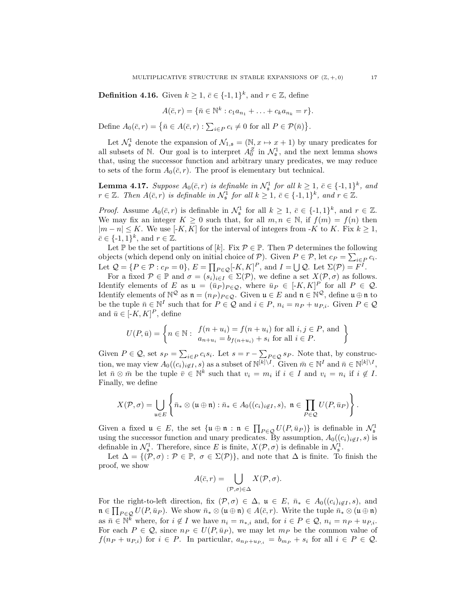**Definition 4.16.** Given  $k \geq 1$ ,  $\bar{c} \in \{-1, 1\}^k$ , and  $r \in \mathbb{Z}$ , define

$$
A(\bar{c},r) = \{\bar{n} \in \mathbb{N}^k : c_1 a_{n_1} + \ldots + c_k a_{n_k} = r\}.
$$

Define  $A_0(\bar{c}, r) = \{ \bar{n} \in A(\bar{c}, r) : \sum_{i \in P} c_i \neq 0 \text{ for all } P \in \mathcal{P}(\bar{n}) \}.$ 

Let  $\mathcal{N}_\mathfrak{s}$  denote the expansion of  $\mathcal{N}_{1,\mathfrak{s}} = (\mathbb{N}, x \mapsto x + 1)$  by unary predicates for all subsets of N. Our goal is to interpret  $A_0^{\mathcal{Z}}$  in  $\mathcal{N}_{\mathfrak{s}}^1$ , and the next lemma shows that, using the successor function and arbitrary unary predicates, we may reduce to sets of the form  $A_0(\bar{c}, r)$ . The proof is elementary but technical.

<span id="page-16-0"></span>**Lemma 4.17.** Suppose  $A_0(\bar{c}, r)$  is definable in  $\mathcal{N}_\mathfrak{s}^1$  for all  $k \geq 1$ ,  $\bar{c} \in \{-1, 1\}^k$ , and  $r \in \mathbb{Z}$ . Then  $A(\bar{c}, r)$  is definable in  $\mathcal{N}_{\mathfrak{s}}^1$  for all  $k \geq 1$ ,  $\bar{c} \in \{-1, 1\}^k$ , and  $r \in \mathbb{Z}$ .

*Proof.* Assume  $A_0(\bar{c}, r)$  is definable in  $\mathcal{N}_\mathfrak{s}^1$  for all  $k \geq 1$ ,  $\bar{c} \in \{-1, 1\}^k$ , and  $r \in \mathbb{Z}$ . We may fix an integer  $K \geq 0$  such that, for all  $m, n \in \mathbb{N}$ , if  $f(m) = f(n)$  then  $|m-n| \leq K$ . We use [-K, K] for the interval of integers from -K to K. Fix  $k \geq 1$ ,  $\bar{c} \in \{-1,1\}^k$ , and  $r \in \mathbb{Z}$ .

Let P be the set of partitions of  $[k]$ . Fix  $\mathcal{P} \in \mathbb{P}$ . Then  $\mathcal{P}$  determines the following objects (which depend only on initial choice of  $P$ ). Given  $P \in \mathcal{P}$ , let  $c_P = \sum_{i \in P} c_i$ . Let  $\mathcal{Q} = \{P \in \mathcal{P} : c_P = 0\}, E = \prod_{P \in \mathcal{Q}} [K, K]^P$ , and  $I = \bigcup \mathcal{Q}$ . Let  $\Sigma(\mathcal{P}) = F^I$ .

For a fixed  $P \in \mathbb{P}$  and  $\sigma = (s_i)_{i \in I} \in \Sigma(\mathcal{P})$ , we define a set  $X(\mathcal{P}, \sigma)$  as follows. Identify elements of E as  $\mathfrak{u} = (\bar{u}_P)_{P \in \mathcal{Q}}$ , where  $\bar{u}_P \in [-K, K]^P$  for all  $P \in \mathcal{Q}$ . Identify elements of  $\mathbb{N}^{\mathcal{Q}}$  as  $\mathfrak{n} = (n_P)_{P \in \mathcal{Q}}$ . Given  $\mathfrak{u} \in E$  and  $\mathfrak{n} \in \mathbb{N}^{\mathcal{Q}}$ , define  $\mathfrak{u} \oplus \mathfrak{n}$  to be the tuple  $\bar{n} \in \mathbb{N}^I$  such that for  $P \in \mathcal{Q}$  and  $i \in P$ ,  $n_i = n_P + u_{P,i}$ . Given  $P \in \mathcal{Q}$ and  $\bar{u} \in [-K, K]^P$ , define

$$
U(P, \bar{u}) = \left\{ n \in \mathbb{N} : \begin{array}{l} f(n + u_i) = f(n + u_i) \text{ for all } i, j \in P, \text{ and} \\ a_{n + u_i} = b_{f(n + u_i)} + s_i \text{ for all } i \in P. \end{array} \right\}
$$

Given  $P \in \mathcal{Q}$ , set  $s_P = \sum_{i \in P} c_i s_i$ . Let  $s = r - \sum_{i \in P} \in \mathcal{Q} s_P$ . Note that, by construction, we may view  $A_0((c_i)_{i \notin I}, s)$  as a subset of  $\mathbb{N}^{\lfloor k \rfloor \setminus I}$ . Given  $\bar{m} \in \mathbb{N}^I$  and  $\bar{n} \in \mathbb{N}^{\lfloor k \rfloor \setminus I}$ , let  $\bar{n} \otimes \bar{m}$  be the tuple  $\bar{v} \in \mathbb{N}^k$  such that  $v_i = m_i$  if  $i \in I$  and  $v_i = n_i$  if  $i \notin I$ . Finally, we define

$$
X(\mathcal{P}, \sigma) = \bigcup_{\mathfrak{u} \in E} \left\{ \bar{n}_* \otimes (\mathfrak{u} \oplus \mathfrak{n}) : \bar{n}_* \in A_0((c_i)_{i \notin I}, s), \ \mathfrak{n} \in \prod_{P \in \mathcal{Q}} U(P, \bar{u}_P) \right\}.
$$

Given a fixed  $\mathfrak{u} \in E$ , the set  $\{\mathfrak{u} \oplus \mathfrak{n} : \mathfrak{n} \in \prod_{P \in \mathcal{Q}} U(P, \bar{u}_P)\}$  is definable in  $\mathcal{N}_s^1$ using the successor function and unary predicates. By assumption,  $A_0((c_i)_{i\notin I}, s)$  is definable in  $\mathcal{N}_{\mathfrak{s}}^1$ . Therefore, since E is finite,  $X(\mathcal{P}, \sigma)$  is definable in  $\mathcal{N}_{\mathfrak{s}}^1$ .

Let  $\Delta = \{(\mathcal{P}, \sigma) : \mathcal{P} \in \mathbb{P}, \sigma \in \Sigma(\mathcal{P})\},\$ and note that  $\Delta$  is finite. To finish the proof, we show

$$
A(\bar{c},r) = \bigcup_{(\mathcal{P},\sigma)\in\Delta} X(\mathcal{P},\sigma).
$$

For the right-to-left direction, fix  $(\mathcal{P}, \sigma) \in \Delta$ ,  $\mathfrak{u} \in E$ ,  $\bar{n}_{*} \in A_0((c_i)_{i \notin I}, s)$ , and  $\mathfrak{n} \in \prod_{P \in \mathcal{Q}} U(P, \bar{u}_P)$ . We show  $\bar{n}_* \otimes (\mathfrak{u} \oplus \mathfrak{n}) \in A(\bar{c}, r)$ . Write the tuple  $\bar{n}_* \otimes (\mathfrak{u} \oplus \mathfrak{n})$ as  $\bar{n} \in \mathbb{N}^k$  where, for  $i \notin I$  we have  $n_i = n_{*,i}$  and, for  $i \in P \in \mathcal{Q}$ ,  $n_i = n_P + u_{P,i}$ . For each  $P \in \mathcal{Q}$ , since  $n_P \in U(P, \bar{u}_P)$ , we may let  $m_P$  be the common value of  $f(n_P + u_{P,i})$  for  $i \in P$ . In particular,  $a_{n_P + u_{P,i}} = b_{m_P} + s_i$  for all  $i \in P \in \mathcal{Q}$ .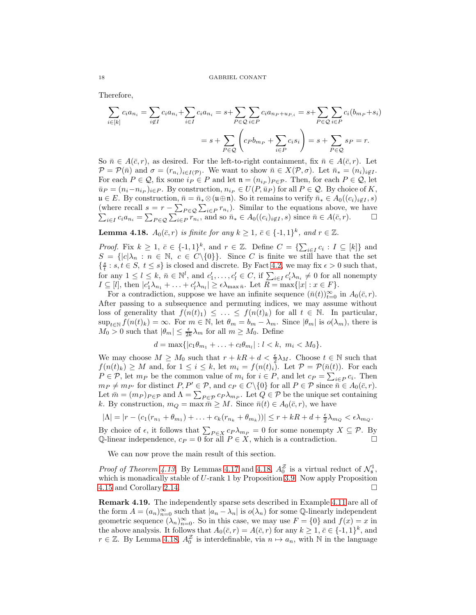Therefore,

$$
\sum_{i \in [k]} c_i a_{n_i} = \sum_{i \notin I} c_i a_{n_i} + \sum_{i \in I} c_i a_{n_i} = s + \sum_{P \in \mathcal{Q}} \sum_{i \in P} c_i a_{n_P + u_{P,i}} = s + \sum_{P \in \mathcal{Q}} \sum_{i \in P} c_i (b_{m_P} + s_i)
$$

$$
= s + \sum_{P \in \mathcal{Q}} \left( c_P b_{m_P} + \sum_{i \in P} c_i s_i \right) = s + \sum_{P \in \mathcal{Q}} s_P = r.
$$

So  $\bar{n} \in A(\bar{c}, r)$ , as desired. For the left-to-right containment, fix  $\bar{n} \in A(\bar{c}, r)$ . Let  $\mathcal{P} = \mathcal{P}(\bar{n})$  and  $\sigma = (r_{n_i})_{i \in I(\mathcal{P})}$ . We want to show  $\bar{n} \in X(\mathcal{P}, \sigma)$ . Let  $\bar{n}_* = (n_i)_{i \notin I}$ . For each  $P \in \mathcal{Q}$ , fix some  $i_P \in P$  and let  $\mathfrak{n} = (n_{i_P})_{P \in \mathcal{P}}$ . Then, for each  $P \in \mathcal{Q}$ , let  $\bar{u}_P = (n_i - n_{i_P})_{i \in P}$ . By construction,  $n_{i_P} \in U(P, \bar{u}_P)$  for all  $P \in \mathcal{Q}$ . By choice of K,  $u \in E$ . By construction,  $\bar{n} = \bar{n}_{*} \otimes (u \oplus \mathfrak{n})$ . So it remains to verify  $\bar{n}_{*} \in A_0((c_i)_{i \notin I}, s)$ (where recall  $s = r - \sum_{P \in \mathcal{Q}} \sum_{i \in P} r_{n_i}$  $\sum$ ). Similar to the equations above, we have  $i\in I$   $c_i a_{n_i} = \sum_{P \in \mathcal{Q}} \sum_{i \in P} \sum_{r=1}^{n_i} \sum_{i \in I} \sum_{i \in I} \sum_{i \in I} \sum_{i \in I} \sum_{i \in I} \sum_{i \in I} \sum_{i \in I} \sum_{i \in I} \sum_{i \in I} \sum_{i \in I} \sum_{i \in I} \sum_{i \in I} \sum_{i \in I} \sum_{i \in I} \sum_{i \in I} \sum_{i \in I} \sum_{i \in I} \sum_{i \in I} \sum_{i \in I} \sum_{i \in I} \sum_{i \in I} \sum_{i \in$ 

<span id="page-17-0"></span>**Lemma 4.18.**  $A_0(\bar{c}, r)$  is finite for any  $k \geq 1$ ,  $\bar{c} \in \{-1, 1\}^k$ , and  $r \in \mathbb{Z}$ .

*Proof.* Fix  $k \geq 1$ ,  $\overline{c} \in \{-1, 1\}^k$ , and  $r \in \mathbb{Z}$ . Define  $C = \{\sum_{i \in I} c_i : I \subseteq [k]\}$  and  $S = \{|c|\lambda_n : n \in \mathbb{N}, c \in C\backslash\{0\}\}.$  Since C is finite we still have that the set  $\{\frac{s}{t}: s,t \in S, t \leq s\}$  is closed and discrete. By Fact [4.2,](#page-12-4) we may fix  $\epsilon > 0$  such that, for any  $1 \leq l \leq k$ ,  $\bar{n} \in \mathbb{N}^l$ , and  $c'_1, \ldots, c'_l \in C$ , if  $\sum_{i \in I} c'_i \lambda_{n_i} \neq 0$  for all nonempty  $I \subseteq [l],$  then  $|c'_1 \lambda_{n_1} + \ldots + c'_l \lambda_{n_l}| \geq \epsilon \lambda_{\max \bar{n}}$ . Let  $R = \max\{|x| : x \in F\}$ .

For a contradiction, suppose we have an infinite sequence  $(\bar{n}(t))_{t=0}^{\infty}$  in  $A_0(\bar{c}, r)$ . After passing to a subsequence and permuting indices, we may assume without loss of generality that  $f(n(t)_1) \leq \ldots \leq f(n(t)_k)$  for all  $t \in \mathbb{N}$ . In particular,  $\sup_{t\in\mathbb{N}} f(n(t)_k) = \infty$ . For  $m \in \mathbb{N}$ , let  $\theta_m = b_m - \lambda_m$ . Since  $|\theta_m|$  is  $o(\lambda_m)$ , there is  $M_0 > 0$  such that  $|\theta_m| \leq \frac{\epsilon}{2k} \lambda_m$  for all  $m \geq M_0$ . Define

$$
d = \max\{|c_1\theta_{m_1} + \ldots + c_l\theta_{m_l}| : l < k, \ m_i < M_0\}.
$$

We may choose  $M \geq M_0$  such that  $r + kR + d < \frac{\epsilon}{2}\lambda_M$ . Choose  $t \in \mathbb{N}$  such that  $f(n(t)_k) \geq M$  and, for  $1 \leq i \leq k$ , let  $m_i = f(n(t)_i)$ . Let  $\mathcal{P} = \mathcal{P}(\bar{n}(t))$ . For each  $P \in \mathcal{P}$ , let  $m_P$  be the common value of  $m_i$  for  $i \in P$ , and let  $c_P = \sum_{i \in P} c_i$ . Then  $m_P \neq m_{P'}$  for distinct  $P, P' \in \mathcal{P}$ , and  $c_P \in C \setminus \{0\}$  for all  $P \in \mathcal{P}$  since  $\overline{n} \in A_0(\overline{c}, r)$ . Let  $\bar{m} = (m_P)_{P \in \mathcal{P}}$  and  $\Lambda = \sum_{P \in \mathcal{P}} c_P \lambda_{m_P}$ . Let  $Q \in \mathcal{P}$  be the unique set containing k. By construction,  $m_Q = \max \bar{m} \ge M$ . Since  $\bar{n}(t) \in A_0(\bar{c}, r)$ , we have

$$
|\Lambda|=|r-(c_1(r_{n_1}+\theta_{m_1})+\ldots+c_k(r_{n_k}+\theta_{m_k}))|\leq r+kR+d+\frac{\epsilon}{2}\lambda_{m_Q}<\epsilon\lambda_{m_Q}.
$$

By choice of  $\epsilon$ , it follows that  $\sum_{P \in X} c_P \lambda_{m_P} = 0$  for some nonempty  $X \subseteq \mathcal{P}$ . By Q-linear independence,  $c_P = 0$  for all  $P \in X$ , which is a contradiction.

We can now prove the main result of this section.

*Proof of Theorem [4.13.](#page-14-0)* By Lemmas [4.17](#page-16-0) and [4.18,](#page-17-0)  $A_0^{\mathcal{Z}}$  is a virtual reduct of  $\mathcal{N}_{\mathfrak{s}}^1$ , which is monadically stable of U-rank 1 by Proposition [3.9.](#page-7-0) Now apply Proposition [4.15](#page-14-3) and Corollary [2.14.](#page-5-1)

Remark 4.19. The independently sparse sets described in Example [4.11](#page-14-4) are all of the form  $A = (a_n)_{n=0}^{\infty}$  such that  $|a_n - \lambda_n|$  is  $o(\lambda_n)$  for some Q-linearly independent geometric sequence  $(\lambda_n)_{n=0}^{\infty}$ . So in this case, we may use  $F = \{0\}$  and  $f(x) = x$  in the above analysis. It follows that  $A_0(\bar{c}, r) = A(\bar{c}, r)$  for any  $k \geq 1, \bar{c} \in \{-1, 1\}^k$ , and  $r \in \mathbb{Z}$ . By Lemma [4.18,](#page-17-0)  $A_0^{\mathbb{Z}}$  is interdefinable, via  $n \mapsto a_n$ , with N in the language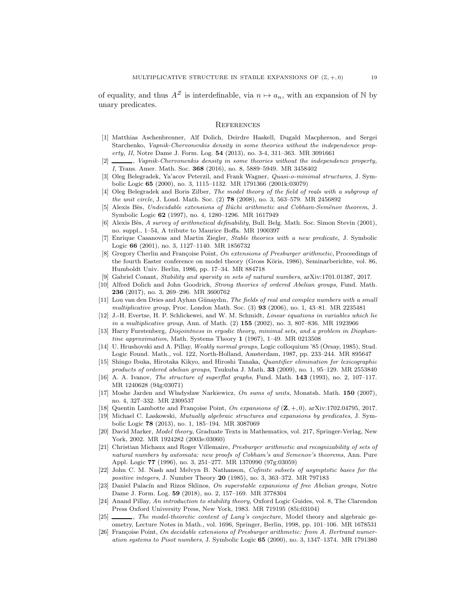of equality, and thus  $A^Z$  is interdefinable, via  $n \mapsto a_n$ , with an expansion of N by unary predicates.

# **REFERENCES**

- <span id="page-18-8"></span>[1] Matthias Aschenbrenner, Alf Dolich, Deirdre Haskell, Dugald Macpherson, and Sergei Starchenko, Vapnik-Chervonenkis density in some theories without the independence property, II, Notre Dame J. Form. Log. 54 (2013), no. 3-4, 311-363. MR 3091661
- <span id="page-18-4"></span>., Vapnik-Chervonenkis density in some theories without the independence property, I, Trans. Amer. Math. Soc. 368 (2016), no. 8, 5889–5949. MR 3458402
- <span id="page-18-5"></span>[3] Oleg Belegradek, Ya'acov Peterzil, and Frank Wagner, Quasi-o-minimal structures, J. Symbolic Logic 65 (2000), no. 3, 1115–1132. MR 1791366 (2001k:03079)
- <span id="page-18-0"></span>[4] Oleg Belegradek and Boris Zilber, The model theory of the field of reals with a subgroup of the unit circle, J. Lond. Math. Soc. (2) 78 (2008), no. 3, 563-579. MR 2456892
- <span id="page-18-23"></span>[5] Alexis Bès, Undecidable extensions of Büchi arithmetic and Cobham-Semënov theorem, J. Symbolic Logic 62 (1997), no. 4, 1280–1296. MR 1617949
- <span id="page-18-21"></span>[6] Alexis Bès, A survey of arithmetical definability, Bull. Belg. Math. Soc. Simon Stevin (2001), no. suppl., 1–54, A tribute to Maurice Boffa. MR 1900397
- <span id="page-18-14"></span>[7] Enrique Casanovas and Martin Ziegler, Stable theories with a new predicate, J. Symbolic Logic 66 (2001), no. 3, 1127–1140. MR 1856732
- <span id="page-18-22"></span>[8] Gregory Cherlin and Françoise Point, On extensions of Presburger arithmetic, Proceedings of the fourth Easter conference on model theory (Gross Köris, 1986), Seminarberichte, vol. 86, Humboldt Univ. Berlin, 1986, pp. 17–34. MR 884718
- <span id="page-18-10"></span><span id="page-18-6"></span>[9] Gabriel Conant, Stability and sparsity in sets of natural numbers, arXiv:1701.01387, 2017.
- [10] Alfred Dolich and John Goodrick, Strong theories of ordered Abelian groups, Fund. Math. 236 (2017), no. 3, 269–296. MR 3600762
- <span id="page-18-1"></span>[11] Lou van den Dries and Ayhan Günaydın, The fields of real and complex numbers with a small multiplicative group, Proc. London Math. Soc.  $(3)$  93  $(2006)$ , no. 1, 43–81. MR 2235481
- <span id="page-18-12"></span>[12] J.-H. Evertse, H. P. Schlickewei, and W. M. Schmidt, Linear equations in variables which lie in a multiplicative group, Ann. of Math. (2) 155 (2002), no. 3, 807-836. MR 1923966
- <span id="page-18-13"></span>[13] Harry Furstenberg, *Disjointness in ergodic theory, minimal sets, and a problem in Diophan*tine approximation, Math. Systems Theory 1 (1967), 1–49. MR 0213508
- <span id="page-18-3"></span>[14] U. Hrushovski and A. Pillay, Weakly normal groups, Logic colloquium '85 (Orsay, 1985), Stud. Logic Found. Math., vol. 122, North-Holland, Amsterdam, 1987, pp. 233–244. MR 895647
- <span id="page-18-17"></span>[15] Shingo Ibuka, Hirotaka Kikyo, and Hiroshi Tanaka, Quantifier elimination for lexicographic products of ordered abelian groups, Tsukuba J. Math. 33 (2009), no. 1, 95–129. MR 2553840
- <span id="page-18-20"></span>[16] A. A. Ivanov, The structure of superflat graphs, Fund. Math. 143 (1993), no. 2, 107–117. MR 1240628 (94g:03071)
- <span id="page-18-18"></span>[17] Moshe Jarden and Władysław Narkiewicz, On sums of units, Monatsh. Math.  $150$  (2007), no. 4, 327–332. MR 2309537
- <span id="page-18-19"></span><span id="page-18-11"></span>[18] Quentin Lambotte and Françoise Point, On expansions of  $(\mathbb{Z}, +, 0)$ , arXiv:1702.04795, 2017.
- [19] Michael C. Laskowski, Mutually algebraic structures and expansions by predicates, J. Symbolic Logic 78 (2013), no. 1, 185–194. MR 3087069
- <span id="page-18-15"></span>[20] David Marker, Model theory, Graduate Texts in Mathematics, vol. 217, Springer-Verlag, New York, 2002. MR 1924282 (2003e:03060)
- <span id="page-18-25"></span>[21] Christian Michaux and Roger Villemaire, Presburger arithmetic and recognizability of sets of natural numbers by automata: new proofs of Cobham's and Semenov's theorems, Ann. Pure Appl. Logic 77 (1996), no. 3, 251–277. MR 1370990 (97g:03059)
- <span id="page-18-24"></span>[22] John C. M. Nash and Melvyn B. Nathanson, Cofinite subsets of asymptotic bases for the positive integers, J. Number Theory 20 (1985), no. 3, 363–372. MR 797183
- <span id="page-18-9"></span>[23] Daniel Palacín and Rizos Sklinos, On superstable expansions of free Abelian groups, Notre Dame J. Form. Log. 59 (2018), no. 2, 157–169. MR 3778304
- <span id="page-18-16"></span>[24] Anand Pillay, An introduction to stability theory, Oxford Logic Guides, vol. 8, The Clarendon Press Oxford University Press, New York, 1983. MR 719195 (85i:03104)
- <span id="page-18-2"></span>[25]  $\_\_\_\_\_\_\_\$  The model-theoretic content of Lang's conjecture, Model theory and algebraic geometry, Lecture Notes in Math., vol. 1696, Springer, Berlin, 1998, pp. 101–106. MR 1678531
- <span id="page-18-7"></span>[26] Françoise Point, On decidable extensions of Presburger arithmetic: from A. Bertrand numeration systems to Pisot numbers, J. Symbolic Logic 65 (2000), no. 3, 1347–1374. MR 1791380